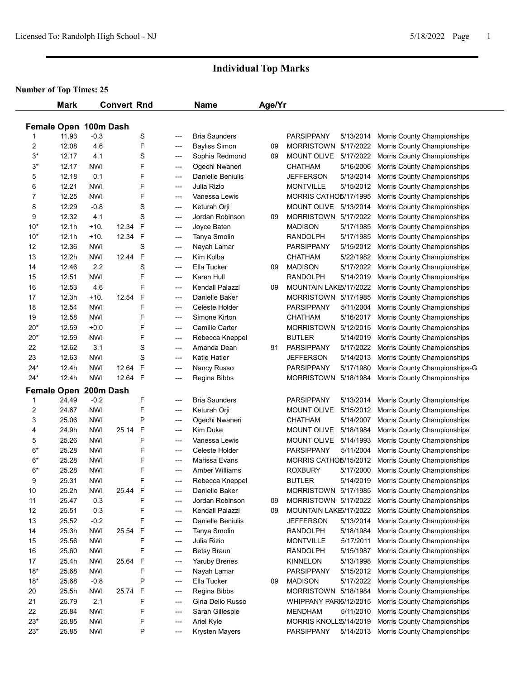|       | <b>Mark</b>                    |            | <b>Convert Rnd</b> |             |     | <b>Name</b>                     | Age/Yr |                                     |           |                               |
|-------|--------------------------------|------------|--------------------|-------------|-----|---------------------------------|--------|-------------------------------------|-----------|-------------------------------|
|       |                                |            |                    |             |     |                                 |        |                                     |           |                               |
| 1     | Female Open 100m Dash<br>11.93 | $-0.3$     |                    | S           | --- | <b>Bria Saunders</b>            |        | <b>PARSIPPANY</b>                   | 5/13/2014 | Morris County Championships   |
| 2     | 12.08                          | 4.6        |                    | F           | --- | <b>Bayliss Simon</b>            | 09     | <b>MORRISTOWN</b>                   | 5/17/2022 | Morris County Championships   |
| $3*$  | 12.17                          | 4.1        |                    | S           | --- | Sophia Redmond                  | 09     | <b>MOUNT OLIVE</b>                  | 5/17/2022 | Morris County Championships   |
| $3*$  | 12.17                          | <b>NWI</b> |                    | F           | --- | Ogechi Nwaneri                  |        | <b>CHATHAM</b>                      | 5/16/2006 | Morris County Championships   |
| 5     | 12.18                          | 0.1        |                    | F           | --- | <b>Danielle Beniulis</b>        |        | <b>JEFFERSON</b>                    | 5/13/2014 | Morris County Championships   |
| 6     | 12.21                          | <b>NWI</b> |                    | F           | --- | Julia Rizio                     |        | <b>MONTVILLE</b>                    | 5/15/2012 | Morris County Championships   |
| 7     | 12.25                          | <b>NWI</b> |                    | F           | --- | Vanessa Lewis                   |        | MORRIS CATHO5/17/1995               |           | Morris County Championships   |
| 8     | 12.29                          | $-0.8$     |                    | S           | --- | Keturah Orji                    |        | MOUNT OLIVE 5/13/2014               |           | Morris County Championships   |
| 9     | 12.32                          | 4.1        |                    | S           | --- | Jordan Robinson                 | 09     | MORRISTOWN 5/17/2022                |           | Morris County Championships   |
| $10*$ | 12.1h                          | $+10.$     | 12.34              | F           | --- | Joyce Baten                     |        | <b>MADISON</b>                      | 5/17/1985 | Morris County Championships   |
| $10*$ | 12.1h                          | $+10.$     | 12.34 F            |             | --- | Tanya Smolin                    |        | <b>RANDOLPH</b>                     | 5/17/1985 | Morris County Championships   |
| 12    | 12.36                          | <b>NWI</b> |                    | S           | --- | Nayah Lamar                     |        | <b>PARSIPPANY</b>                   | 5/15/2012 | Morris County Championships   |
| 13    | 12.2h                          | <b>NWI</b> | 12.44              | $\mathsf F$ | --- | Kim Kolba                       |        | <b>CHATHAM</b>                      | 5/22/1982 | Morris County Championships   |
| 14    | 12.46                          | 2.2        |                    | S           | --- | Ella Tucker                     | 09     | <b>MADISON</b>                      | 5/17/2022 | Morris County Championships   |
| 15    | 12.51                          | <b>NWI</b> |                    | F           | --- | Karen Hull                      |        | <b>RANDOLPH</b>                     | 5/14/2019 | Morris County Championships   |
| 16    | 12.53                          | 4.6        |                    | F           |     | Kendall Palazzi                 | 09     | MOUNTAIN LAKE5/17/2022              |           |                               |
|       |                                | $+10.$     | 12.54              | F           | --- |                                 |        | MORRISTOWN 5/17/1985                |           | Morris County Championships   |
| 17    | 12.3h                          | <b>NWI</b> |                    | F           | --- | Danielle Baker                  |        |                                     |           | Morris County Championships   |
| 18    | 12.54                          | <b>NWI</b> |                    | F           | --- | Celeste Holder<br>Simone Kirton |        | <b>PARSIPPANY</b><br><b>CHATHAM</b> | 5/11/2004 | Morris County Championships   |
| 19    | 12.58                          |            |                    |             | --- |                                 |        |                                     | 5/16/2017 | Morris County Championships   |
| 20*   | 12.59                          | $+0.0$     |                    | F           | --- | Camille Carter                  |        | <b>MORRISTOWN</b>                   | 5/12/2015 | Morris County Championships   |
| 20*   | 12.59                          | <b>NWI</b> |                    | F           | --- | Rebecca Kneppel                 |        | <b>BUTLER</b>                       | 5/14/2019 | Morris County Championships   |
| 22    | 12.62                          | 3.1        |                    | S           | --- | Amanda Dean                     | 91     | <b>PARSIPPANY</b>                   | 5/17/2022 | Morris County Championships   |
| 23    | 12.63                          | <b>NWI</b> |                    | S           | --- | <b>Katie Hatler</b>             |        | <b>JEFFERSON</b>                    | 5/14/2013 | Morris County Championships   |
| $24*$ | 12.4h                          | <b>NWI</b> | 12.64              | F           | --- | Nancy Russo                     |        | <b>PARSIPPANY</b>                   | 5/17/1980 | Morris County Championships-G |
| $24*$ | 12.4h                          | <b>NWI</b> | 12.64 F            |             | --- | Regina Bibbs                    |        | <b>MORRISTOWN</b>                   | 5/18/1984 | Morris County Championships   |
|       | Female Open 200m Dash          |            |                    |             |     |                                 |        |                                     |           |                               |
| 1     | 24.49                          | $-0.2$     |                    | F           | --- | <b>Bria Saunders</b>            |        | <b>PARSIPPANY</b>                   | 5/13/2014 | Morris County Championships   |
| 2     | 24.67                          | <b>NWI</b> |                    | F           | --- | Keturah Orji                    |        | MOUNT OLIVE                         | 5/15/2012 | Morris County Championships   |
| 3     | 25.06                          | <b>NWI</b> |                    | P           | --- | Ogechi Nwaneri                  |        | <b>CHATHAM</b>                      | 5/14/2007 | Morris County Championships   |
| 4     | 24.9h                          | <b>NWI</b> | 25.14              | F           | --- | Kim Duke                        |        | <b>MOUNT OLIVE</b>                  | 5/18/1984 | Morris County Championships   |
| 5     | 25.26                          | <b>NWI</b> |                    | F           | --- | Vanessa Lewis                   |        | MOUNT OLIVE                         | 5/14/1993 | Morris County Championships   |
| $6*$  | 25.28                          | <b>NWI</b> |                    | F           | --- | Celeste Holder                  |        | <b>PARSIPPANY</b>                   | 5/11/2004 | Morris County Championships   |
| $6*$  | 25.28                          | <b>NWI</b> |                    | F           | --- | Marissa Evans                   |        | MORRIS CATHO5/15/2012               |           | Morris County Championships   |
| $6*$  | 25.28                          | <b>NWI</b> |                    | F           | --- | <b>Amber Williams</b>           |        | <b>ROXBURY</b>                      | 5/17/2000 | Morris County Championships   |
| 9     | 25.31                          | <b>NWI</b> |                    | F           | --- | Rebecca Kneppel                 |        | <b>BUTLER</b>                       | 5/14/2019 | Morris County Championships   |
| 10    | 25.2h                          | <b>NWI</b> | 25.44 F            |             | --- | Danielle Baker                  |        | MORRISTOWN 5/17/1985                |           | Morris County Championships   |
| 11    | 25.47                          | 0.3        |                    | F           | --- | Jordan Robinson                 | 09     | MORRISTOWN 5/17/2022                |           | Morris County Championships   |
| 12    | 25.51                          | 0.3        |                    | F           | --- | Kendall Palazzi                 | 09     | MOUNTAIN LAKE5/17/2022              |           | Morris County Championships   |
| 13    | 25.52                          | $-0.2$     |                    | F           | --- | Danielle Beniulis               |        | <b>JEFFERSON</b>                    | 5/13/2014 | Morris County Championships   |
| 14    | 25.3h                          | <b>NWI</b> | 25.54              | F           | --- | Tanya Smolin                    |        | <b>RANDOLPH</b>                     | 5/18/1984 | Morris County Championships   |
| 15    | 25.56                          | <b>NWI</b> |                    | F           | --- | Julia Rizio                     |        | <b>MONTVILLE</b>                    | 5/17/2011 | Morris County Championships   |
| 16    | 25.60                          | <b>NWI</b> |                    | F           | --- | Betsy Braun                     |        | <b>RANDOLPH</b>                     | 5/15/1987 | Morris County Championships   |
| 17    | 25.4h                          | <b>NWI</b> | 25.64              | F           | --- | <b>Yaruby Brenes</b>            |        | <b>KINNELON</b>                     | 5/13/1998 | Morris County Championships   |
| $18*$ | 25.68                          | <b>NWI</b> |                    | F           | --- | Nayah Lamar                     |        | <b>PARSIPPANY</b>                   | 5/15/2012 | Morris County Championships   |
| $18*$ | 25.68                          | $-0.8$     |                    | P           | --- | Ella Tucker                     | 09     | <b>MADISON</b>                      | 5/17/2022 | Morris County Championships   |
| 20    | 25.5h                          | <b>NWI</b> | 25.74              | F           | --- | Regina Bibbs                    |        | MORRISTOWN 5/18/1984                |           | Morris County Championships   |
| 21    | 25.79                          | 2.1        |                    | F           | --- | Gina Dello Russo                |        | WHIPPANY PARI5/12/2015              |           | Morris County Championships   |
| 22    | 25.84                          | <b>NWI</b> |                    | F           | --- | Sarah Gillespie                 |        | <b>MENDHAM</b>                      | 5/11/2010 | Morris County Championships   |
| $23*$ | 25.85                          | <b>NWI</b> |                    | F           | --- | Ariel Kyle                      |        | MORRIS KNOLL \$/14/2019             |           | Morris County Championships   |
| $23*$ | 25.85                          | <b>NWI</b> |                    | P           | --- | Krysten Mayers                  |        | PARSIPPANY                          | 5/14/2013 | Morris County Championships   |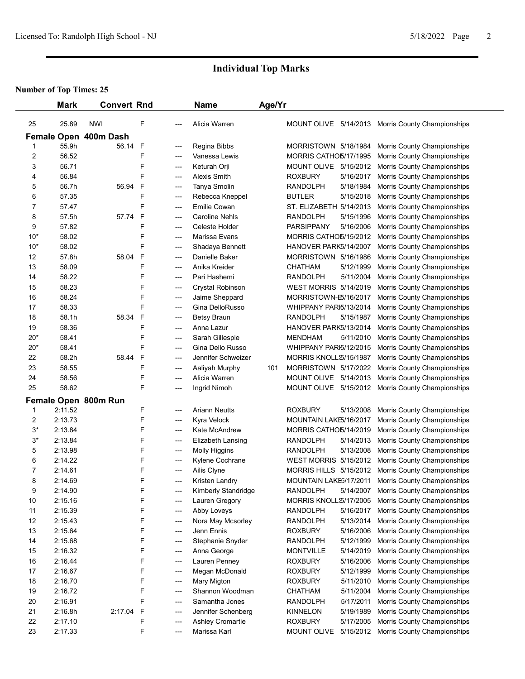|                | <b>Mark</b> | <b>Convert Rnd</b>    |              |                          | <b>Name</b>           | Age/Yr |                              |           |                                                   |  |
|----------------|-------------|-----------------------|--------------|--------------------------|-----------------------|--------|------------------------------|-----------|---------------------------------------------------|--|
|                |             |                       |              |                          |                       |        |                              |           |                                                   |  |
| 25             | 25.89       | <b>NWI</b>            | F            |                          | Alicia Warren         |        |                              |           | MOUNT OLIVE 5/14/2013 Morris County Championships |  |
|                |             | Female Open 400m Dash |              |                          |                       |        |                              |           |                                                   |  |
| 1              | 55.9h       | 56.14                 | F            | ---                      | Regina Bibbs          |        | MORRISTOWN 5/18/1984         |           | Morris County Championships                       |  |
| 2              | 56.52       |                       | F            | ---                      | Vanessa Lewis         |        | MORRIS CATHO5/17/1995        |           | Morris County Championships                       |  |
| 3              | 56.71       |                       | F            | ---                      | Keturah Orji          |        | MOUNT OLIVE                  | 5/15/2012 | Morris County Championships                       |  |
| 4              | 56.84       |                       | F            | ---                      | Alexis Smith          |        | <b>ROXBURY</b>               | 5/16/2017 | Morris County Championships                       |  |
| 5              | 56.7h       | 56.94                 | F            | ---                      | Tanya Smolin          |        | <b>RANDOLPH</b>              | 5/18/1984 | Morris County Championships                       |  |
| 6              | 57.35       |                       | F            | $---$                    | Rebecca Kneppel       |        | <b>BUTLER</b>                | 5/15/2018 | Morris County Championships                       |  |
| 7              | 57.47       |                       | F            | $---$                    | Emilie Cowan          |        | ST. ELIZABETH 5/14/2013      |           | Morris County Championships                       |  |
| 8              | 57.5h       | 57.74                 | $\mathsf{F}$ | ---                      | <b>Caroline Nehls</b> |        | <b>RANDOLPH</b>              | 5/15/1996 | Morris County Championships                       |  |
| 9              | 57.82       |                       | F            | ---                      | Celeste Holder        |        | <b>PARSIPPANY</b>            | 5/16/2006 | Morris County Championships                       |  |
| $10*$          | 58.02       |                       | F            | ---                      | Marissa Evans         |        | MORRIS CATHO5/15/2012        |           | Morris County Championships                       |  |
| $10*$          | 58.02       |                       | F            | $---$                    | Shadaya Bennett       |        | HANOVER PARK5/14/2007        |           | Morris County Championships                       |  |
| 12             | 57.8h       | 58.04                 | $\mathsf F$  | $---$                    | Danielle Baker        |        | MORRISTOWN 5/16/1986         |           | Morris County Championships                       |  |
| 13             | 58.09       |                       | F            | $---$                    | Anika Kreider         |        | <b>CHATHAM</b>               | 5/12/1999 | Morris County Championships                       |  |
| 14             | 58.22       |                       | F            | $---$                    | Pari Hashemi          |        | <b>RANDOLPH</b>              | 5/11/2004 | Morris County Championships                       |  |
| 15             | 58.23       |                       | F            | ---                      | Crystal Robinson      |        | <b>WEST MORRIS 5/14/2019</b> |           | Morris County Championships                       |  |
| 16             | 58.24       |                       | F            | ---                      | Jaime Sheppard        |        | MORRISTOWN-E5/16/2017        |           | Morris County Championships                       |  |
| 17             | 58.33       |                       | F            | ---                      | Gina DelloRusso       |        | WHIPPANY PARI5/13/2014       |           | Morris County Championships                       |  |
| 18             | 58.1h       | 58.34                 | F            | ---                      | <b>Betsy Braun</b>    |        | <b>RANDOLPH</b>              | 5/15/1987 | Morris County Championships                       |  |
| 19             | 58.36       |                       | F            | $---$                    | Anna Lazur            |        | HANOVER PARK5/13/2014        |           | Morris County Championships                       |  |
| $20*$          | 58.41       |                       | F            | ---                      | Sarah Gillespie       |        | <b>MENDHAM</b>               | 5/11/2010 | Morris County Championships                       |  |
| $20*$          | 58.41       |                       | F            | ---                      | Gina Dello Russo      |        | WHIPPANY PARI5/12/2015       |           | Morris County Championships                       |  |
| 22             | 58.2h       | 58.44                 | F            | ---                      | Jennifer Schweizer    |        | MORRIS KNOLL\$/15/1987       |           | Morris County Championships                       |  |
| 23             | 58.55       |                       | F            | $---$                    | Aaliyah Murphy        | 101    | MORRISTOWN 5/17/2022         |           | Morris County Championships                       |  |
| 24             | 58.56       |                       | F            | ---                      | Alicia Warren         |        | MOUNT OLIVE 5/14/2013        |           | Morris County Championships                       |  |
| 25             | 58.62       |                       | F            | ---                      | Ingrid Nimoh          |        | MOUNT OLIVE 5/15/2012        |           | Morris County Championships                       |  |
|                |             | Female Open 800m Run  |              |                          |                       |        |                              |           |                                                   |  |
| 1              | 2:11.52     |                       | F            | ---                      | <b>Ariann Neutts</b>  |        | <b>ROXBURY</b>               | 5/13/2008 | Morris County Championships                       |  |
| 2              | 2:13.73     |                       | F            | $---$                    | Kyra Velock           |        | MOUNTAIN LAKE5/16/2017       |           | Morris County Championships                       |  |
| $3*$           | 2:13.84     |                       | F            | $---$                    | Kate McAndrew         |        | MORRIS CATHO5/14/2019        |           | Morris County Championships                       |  |
| $3*$           | 2:13.84     |                       | F            | $\overline{\phantom{a}}$ | Elizabeth Lansing     |        | <b>RANDOLPH</b>              | 5/14/2013 | Morris County Championships                       |  |
| 5              | 2:13.98     |                       | F            | $---$                    | Molly Higgins         |        | <b>RANDOLPH</b>              | 5/13/2008 | Morris County Championships                       |  |
| 6              | 2:14.22     |                       | F            | ---                      | Kylene Cochrane       |        | <b>WEST MORRIS 5/15/2012</b> |           | Morris County Championships                       |  |
| $\overline{7}$ | 2:14.61     |                       | F            | ---                      | Ailis Clyne           |        | MORRIS HILLS 5/15/2012       |           | Morris County Championships                       |  |
| 8              | 2:14.69     |                       | F            | ---                      | Kristen Landry        |        | MOUNTAIN LAKE5/17/2011       |           | Morris County Championships                       |  |
| 9              | 2:14.90     |                       | F            |                          | Kimberly Standridge   |        | <b>RANDOLPH</b>              | 5/14/2007 | Morris County Championships                       |  |
| 10             | 2:15.16     |                       | F            |                          | Lauren Gregory        |        | MORRIS KNOLL \$/17/2005      |           | Morris County Championships                       |  |
| 11             | 2:15.39     |                       | F            | $\overline{\phantom{a}}$ | Abby Loveys           |        | <b>RANDOLPH</b>              | 5/16/2017 | Morris County Championships                       |  |
| 12             | 2:15.43     |                       | F            | $---$                    | Nora May Mcsorley     |        | <b>RANDOLPH</b>              | 5/13/2014 | Morris County Championships                       |  |
| 13             | 2:15.64     |                       | F            | $\overline{\phantom{a}}$ | Jenn Ennis            |        | <b>ROXBURY</b>               | 5/16/2006 | Morris County Championships                       |  |
| 14             | 2:15.68     |                       | F            | $\overline{\phantom{a}}$ | Stephanie Snyder      |        | <b>RANDOLPH</b>              | 5/12/1999 | Morris County Championships                       |  |
| 15             | 2:16.32     |                       | F            | ---                      | Anna George           |        | <b>MONTVILLE</b>             | 5/14/2019 | Morris County Championships                       |  |
| 16             | 2:16.44     |                       | F            | ---                      | Lauren Penney         |        | <b>ROXBURY</b>               | 5/16/2006 | Morris County Championships                       |  |
| 17             | 2:16.67     |                       | F            | $---$                    | Megan McDonald        |        | <b>ROXBURY</b>               | 5/12/1999 | Morris County Championships                       |  |
| 18             | 2:16.70     |                       | F            | $---$                    | Mary Migton           |        | <b>ROXBURY</b>               | 5/11/2010 | Morris County Championships                       |  |
| 19             | 2:16.72     |                       | F            | ---                      | Shannon Woodman       |        | <b>CHATHAM</b>               | 5/11/2004 | Morris County Championships                       |  |
| 20             | 2:16.91     |                       | F            | $---$                    | Samantha Jones        |        | <b>RANDOLPH</b>              | 5/17/2011 | Morris County Championships                       |  |
| 21             | 2:16.8h     | 2:17.04               | $\mathsf{F}$ | $---$                    | Jennifer Schenberg    |        | <b>KINNELON</b>              | 5/19/1989 | Morris County Championships                       |  |
| 22             | 2:17.10     |                       | F            | ---                      | Ashley Cromartie      |        | <b>ROXBURY</b>               | 5/17/2005 | Morris County Championships                       |  |
| 23             | 2:17.33     |                       | F            | ---                      | Marissa Karl          |        | MOUNT OLIVE                  |           | 5/15/2012 Morris County Championships             |  |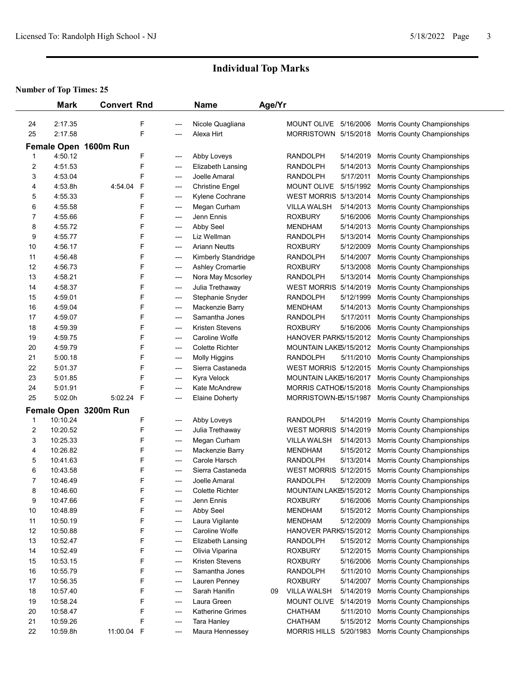|                | <b>Mark</b> | <b>Convert Rnd</b>    |              |       | <b>Name</b>             | Age/Yr |                              |           |                             |  |
|----------------|-------------|-----------------------|--------------|-------|-------------------------|--------|------------------------------|-----------|-----------------------------|--|
|                |             |                       |              |       |                         |        |                              |           |                             |  |
| 24             | 2:17.35     |                       | F            | ---   | Nicole Quagliana        |        | MOUNT OLIVE 5/16/2006        |           | Morris County Championships |  |
| 25             | 2:17.58     |                       | F            | ---   | Alexa Hirt              |        | MORRISTOWN 5/15/2018         |           | Morris County Championships |  |
|                |             | Female Open 1600m Run |              |       |                         |        |                              |           |                             |  |
| 1              | 4:50.12     |                       | F            | ---   | Abby Loveys             |        | <b>RANDOLPH</b>              | 5/14/2019 | Morris County Championships |  |
| 2              | 4:51.53     |                       | F            | ---   | Elizabeth Lansing       |        | <b>RANDOLPH</b>              | 5/14/2013 | Morris County Championships |  |
| 3              | 4:53.04     |                       | F            | ---   | Joelle Amaral           |        | <b>RANDOLPH</b>              | 5/17/2011 | Morris County Championships |  |
| 4              | 4:53.8h     | 4:54.04               | $\mathsf F$  | ---   | <b>Christine Engel</b>  |        | MOUNT OLIVE                  | 5/15/1992 | Morris County Championships |  |
| 5              | 4:55.33     |                       | F            | $---$ | Kylene Cochrane         |        | WEST MORRIS 5/13/2014        |           | Morris County Championships |  |
| 6              | 4:55.58     |                       | F            | $---$ | Megan Curham            |        | <b>VILLA WALSH</b>           | 5/14/2013 | Morris County Championships |  |
| 7              | 4:55.66     |                       | F            | ---   | Jenn Ennis              |        | <b>ROXBURY</b>               | 5/16/2006 | Morris County Championships |  |
| 8              | 4:55.72     |                       | F            | ---   | Abby Seel               |        | <b>MENDHAM</b>               | 5/14/2013 | Morris County Championships |  |
| 9              | 4:55.77     |                       | F            | ---   | Liz Wellman             |        | <b>RANDOLPH</b>              | 5/13/2014 | Morris County Championships |  |
| 10             | 4:56.17     |                       | F            | ---   | <b>Ariann Neutts</b>    |        | <b>ROXBURY</b>               | 5/12/2009 | Morris County Championships |  |
| 11             | 4:56.48     |                       | F            | $---$ | Kimberly Standridge     |        | <b>RANDOLPH</b>              | 5/14/2007 | Morris County Championships |  |
| 12             | 4:56.73     |                       | F            | $---$ | <b>Ashley Cromartie</b> |        | <b>ROXBURY</b>               | 5/13/2008 | Morris County Championships |  |
| 13             | 4:58.21     |                       | F            | ---   | Nora May Mcsorley       |        | <b>RANDOLPH</b>              | 5/13/2014 | Morris County Championships |  |
| 14             | 4:58.37     |                       | F            | ---   | Julia Trethaway         |        | <b>WEST MORRIS 5/14/2019</b> |           | Morris County Championships |  |
| 15             | 4:59.01     |                       | F            | ---   | Stephanie Snyder        |        | <b>RANDOLPH</b>              | 5/12/1999 | Morris County Championships |  |
| 16             | 4:59.04     |                       | F            | ---   | Mackenzie Barry         |        | <b>MENDHAM</b>               | 5/14/2013 | Morris County Championships |  |
| 17             | 4:59.07     |                       | F            | ---   | Samantha Jones          |        | <b>RANDOLPH</b>              | 5/17/2011 | Morris County Championships |  |
| 18             | 4:59.39     |                       | F            | ---   | Kristen Stevens         |        | <b>ROXBURY</b>               | 5/16/2006 | Morris County Championships |  |
| 19             | 4:59.75     |                       | F            | ---   | Caroline Wolfe          |        | HANOVER PARK5/15/2012        |           | Morris County Championships |  |
| 20             | 4:59.79     |                       | F            | ---   | <b>Colette Richter</b>  |        | MOUNTAIN LAKE5/15/2012       |           | Morris County Championships |  |
| 21             | 5:00.18     |                       | F            | ---   | Molly Higgins           |        | RANDOLPH                     | 5/11/2010 | Morris County Championships |  |
| 22             | 5:01.37     |                       | F            | ---   | Sierra Castaneda        |        | <b>WEST MORRIS 5/12/2015</b> |           | Morris County Championships |  |
| 23             | 5:01.85     |                       | F            | ---   | Kyra Velock             |        | MOUNTAIN LAKE5/16/2017       |           | Morris County Championships |  |
| 24             | 5:01.91     |                       | F            | ---   | Kate McAndrew           |        | MORRIS CATHO5/15/2018        |           | Morris County Championships |  |
| 25             | 5:02.0h     | 5:02.24               | $\mathsf{F}$ | ---   | <b>Elaine Doherty</b>   |        | MORRISTOWN-E5/15/1987        |           | Morris County Championships |  |
|                |             | Female Open 3200m Run |              |       |                         |        |                              |           |                             |  |
| 1              | 10:10.24    |                       | F            | ---   | Abby Loveys             |        | <b>RANDOLPH</b>              | 5/14/2019 | Morris County Championships |  |
| $\overline{c}$ | 10:20.52    |                       | F            | ---   | Julia Trethaway         |        | <b>WEST MORRIS 5/14/2019</b> |           | Morris County Championships |  |
| 3              | 10:25.33    |                       | F            | ---   | Megan Curham            |        | <b>VILLA WALSH</b>           | 5/14/2013 | Morris County Championships |  |
| 4              | 10:26.82    |                       | F            | ---   | Mackenzie Barry         |        | <b>MENDHAM</b>               | 5/15/2012 | Morris County Championships |  |
| 5              | 10:41.63    |                       | F            | ---   | Carole Harsch           |        | <b>RANDOLPH</b>              | 5/13/2014 | Morris County Championships |  |
| 6              | 10:43.58    |                       | F            | ---   | Sierra Castaneda        |        | <b>WEST MORRIS 5/12/2015</b> |           | Morris County Championships |  |
| $\overline{7}$ | 10:46.49    |                       | F            | $---$ | Joelle Amaral           |        | <b>RANDOLPH</b>              | 5/12/2009 | Morris County Championships |  |
| 8              | 10:46.60    |                       | F            | ---   | <b>Colette Richter</b>  |        | MOUNTAIN LAKE5/15/2012       |           | Morris County Championships |  |
| 9              | 10:47.66    |                       | F            | ---   | Jenn Ennis              |        | <b>ROXBURY</b>               | 5/16/2006 | Morris County Championships |  |
| 10             | 10:48.89    |                       | F            | ---   | Abby Seel               |        | <b>MENDHAM</b>               | 5/15/2012 | Morris County Championships |  |
| 11             | 10:50.19    |                       | F            | ---   | Laura Vigilante         |        | <b>MENDHAM</b>               | 5/12/2009 | Morris County Championships |  |
| 12             | 10:50.88    |                       | F            | ---   | Caroline Wolfe          |        | HANOVER PARK5/15/2012        |           | Morris County Championships |  |
| 13             | 10:52.47    |                       | F            | ---   | Elizabeth Lansing       |        | <b>RANDOLPH</b>              | 5/15/2012 | Morris County Championships |  |
| 14             | 10:52.49    |                       | F            | ---   | Olivia Viparina         |        | <b>ROXBURY</b>               | 5/12/2015 | Morris County Championships |  |
| 15             | 10:53.15    |                       | F            | ---   | Kristen Stevens         |        | <b>ROXBURY</b>               | 5/16/2006 | Morris County Championships |  |
| 16             | 10:55.79    |                       | F            | ---   | Samantha Jones          |        | RANDOLPH                     | 5/11/2010 | Morris County Championships |  |
| 17             | 10:56.35    |                       | F            | ---   | Lauren Penney           |        | <b>ROXBURY</b>               | 5/14/2007 | Morris County Championships |  |
| 18             | 10:57.40    |                       | F            | ---   | Sarah Hanifin           | 09     | VILLA WALSH                  | 5/14/2019 | Morris County Championships |  |
| 19             | 10:58.24    |                       | F            | ---   | Laura Green             |        | MOUNT OLIVE                  | 5/14/2019 | Morris County Championships |  |
| 20             | 10:58.47    |                       | F            | ---   | Katherine Grimes        |        | <b>CHATHAM</b>               | 5/11/2010 | Morris County Championships |  |
| 21             | 10:59.26    |                       | F            | ---   | Tara Hanley             |        | <b>CHATHAM</b>               | 5/15/2012 | Morris County Championships |  |
| 22             | 10:59.8h    | 11:00.04 F            |              | ---   | Maura Hennessey         |        | MORRIS HILLS 5/20/1983       |           | Morris County Championships |  |
|                |             |                       |              |       |                         |        |                              |           |                             |  |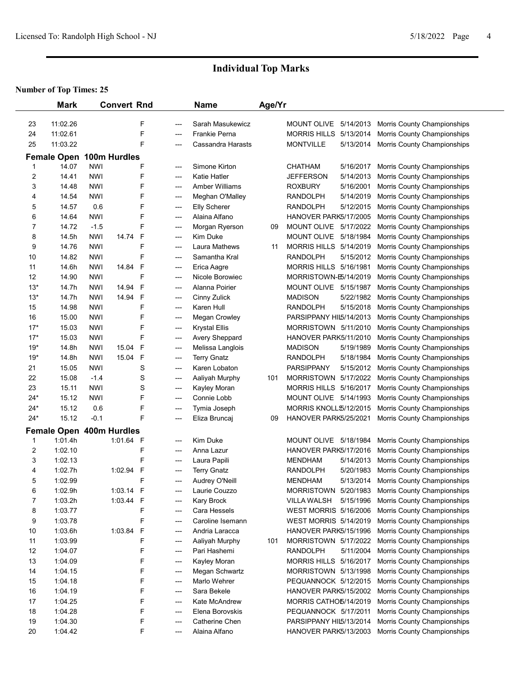|        | <b>Mark</b>              |            | <b>Convert Rnd</b> |             |            | <b>Name</b>                          | Age/Yr |                              |           |                                                            |  |
|--------|--------------------------|------------|--------------------|-------------|------------|--------------------------------------|--------|------------------------------|-----------|------------------------------------------------------------|--|
| 23     | 11:02.26                 |            |                    | F           |            | Sarah Masukewicz                     |        | MOUNT OLIVE 5/14/2013        |           |                                                            |  |
| 24     | 11:02.61                 |            |                    | F           | ---<br>--- | Frankie Perna                        |        | MORRIS HILLS 5/13/2014       |           | Morris County Championships<br>Morris County Championships |  |
| 25     | 11:03.22                 |            |                    | F           | ---        | Cassandra Harasts                    |        | <b>MONTVILLE</b>             | 5/13/2014 | Morris County Championships                                |  |
|        |                          |            |                    |             |            |                                      |        |                              |           |                                                            |  |
|        | <b>Female Open</b>       |            | 100m Hurdles       |             |            |                                      |        |                              |           |                                                            |  |
|        | 14.07                    | NWI        |                    | F           | ---        | Simone Kirton                        |        | CHATHAM                      | 5/16/2017 | Morris County Championships                                |  |
| 2      | 14.41                    | <b>NWI</b> |                    | F           | ---        | <b>Katie Hatler</b>                  |        | JEFFERSON                    | 5/14/2013 | Morris County Championships                                |  |
| 3      | 14.48                    | NWI        |                    | F<br>F      | ---        | <b>Amber Williams</b>                |        | <b>ROXBURY</b>               | 5/16/2001 | Morris County Championships                                |  |
| 4      | 14.54                    | NWI        |                    | F           | ---        | Meghan O'Malley                      |        | RANDOLPH<br><b>RANDOLPH</b>  | 5/14/2019 | Morris County Championships                                |  |
| 5<br>6 | 14.57<br>14.64           | 0.6<br>NWI |                    | F           | ---        | <b>Elly Scherer</b><br>Alaina Alfano |        | HANOVER PARK5/17/2005        | 5/12/2015 | Morris County Championships                                |  |
| 7      | 14.72                    | $-1.5$     |                    | F           | ---<br>--- | Morgan Ryerson                       | 09     | MOUNT OLIVE 5/17/2022        |           | Morris County Championships<br>Morris County Championships |  |
| 8      | 14.5h                    | <b>NWI</b> | 14.74              | $\mathsf F$ | ---        | Kim Duke                             |        | MOUNT OLIVE                  | 5/18/1984 | Morris County Championships                                |  |
| 9      | 14.76                    | <b>NWI</b> |                    | F           | ---        | Laura Mathews                        | 11     | MORRIS HILLS 5/14/2019       |           | Morris County Championships                                |  |
| 10     | 14.82                    | <b>NWI</b> |                    | F           | ---        | Samantha Kral                        |        | <b>RANDOLPH</b>              | 5/15/2012 | Morris County Championships                                |  |
| 11     | 14.6h                    | NWI        | 14.84              | F           | ---        | Erica Aagre                          |        | MORRIS HILLS 5/16/1981       |           | Morris County Championships                                |  |
| 12     | 14.90                    | NWI        |                    | F           | ---        | Nicole Borowiec                      |        | MORRISTOWN-E5/14/2019        |           | Morris County Championships                                |  |
| $13*$  | 14.7h                    | <b>NWI</b> | 14.94              | $\mathsf F$ | ---        | Alanna Poirier                       |        | MOUNT OLIVE 5/15/1987        |           | Morris County Championships                                |  |
| $13*$  | 14.7h                    | <b>NWI</b> | 14.94              | $\mathsf F$ | ---        | Cinny Zulick                         |        | <b>MADISON</b>               | 5/22/1982 | Morris County Championships                                |  |
| 15     | 14.98                    | <b>NWI</b> |                    | F           | ---        | Karen Hull                           |        | RANDOLPH                     | 5/15/2018 | Morris County Championships                                |  |
| 16     | 15.00                    | <b>NWI</b> |                    | F           | ---        | Megan Crowley                        |        | PARSIPPANY HIL5/14/2013      |           | Morris County Championships                                |  |
| $17*$  | 15.03                    | NWI        |                    | F           | ---        | <b>Krystal Ellis</b>                 |        | MORRISTOWN 5/11/2010         |           | Morris County Championships                                |  |
| $17*$  | 15.03                    | NWI        |                    | F           | ---        | Avery Sheppard                       |        | HANOVER PARK5/11/2010        |           | Morris County Championships                                |  |
| $19*$  | 14.8h                    | <b>NWI</b> | 15.04              | F           | ---        | Melissa Langlois                     |        | <b>MADISON</b>               | 5/19/1989 | Morris County Championships                                |  |
| $19*$  | 14.8h                    | <b>NWI</b> | 15.04              | F           | ---        | <b>Terry Gnatz</b>                   |        | <b>RANDOLPH</b>              | 5/18/1984 | Morris County Championships                                |  |
| 21     | 15.05                    | <b>NWI</b> |                    | S           | ---        | Karen Lobaton                        |        | PARSIPPANY                   | 5/15/2012 | Morris County Championships                                |  |
| 22     | 15.08                    | $-1.4$     |                    | S           | ---        | Aaliyah Murphy                       | 101    | MORRISTOWN 5/17/2022         |           | Morris County Championships                                |  |
| 23     | 15.11                    | NWI        |                    | S           | ---        | Kayley Moran                         |        | MORRIS HILLS 5/16/2017       |           | Morris County Championships                                |  |
| $24*$  | 15.12                    | <b>NWI</b> |                    | F           | ---        | Connie Lobb                          |        | MOUNT OLIVE 5/14/1993        |           | Morris County Championships                                |  |
| $24*$  | 15.12                    | 0.6        |                    | F           | ---        | Tymia Joseph                         |        | MORRIS KNOLL \$/12/2015      |           | Morris County Championships                                |  |
| $24*$  | 15.12                    | $-0.1$     |                    | F           | ---        | Eliza Bruncaj                        | 09     | HANOVER PARK5/25/2021        |           | Morris County Championships                                |  |
|        | Female Open 400m Hurdles |            |                    |             |            |                                      |        |                              |           |                                                            |  |
| 1      | 1:01.4h                  |            | 1:01.64 F          |             | ---        | Kim Duke                             |        | MOUNT OLIVE                  | 5/18/1984 | Morris County Championships                                |  |
| 2      | 1:02.10                  |            |                    | F           | ---        | Anna Lazur                           |        | HANOVER PARK5/17/2016        |           | Morris County Championships                                |  |
| 3      | 1:02.13                  |            |                    | F           | ---        | Laura Papili                         |        | <b>MENDHAM</b>               | 5/14/2013 | Morris County Championships                                |  |
| 4      | 1:02.7h                  |            | 1:02.94            | F           | ---        | <b>Terry Gnatz</b>                   |        | <b>RANDOLPH</b>              | 5/20/1983 | Morris County Championships                                |  |
| 5      | 1.0299                   |            |                    | F           |            | Audrey O'Neill                       |        | <b>MENDHAM</b>               |           | 5/13/2014 Morris County Championships                      |  |
| 6      | 1:02.9h                  |            | 1:03.14 F          |             | ---        | Laurie Couzzo                        |        | MORRISTOWN 5/20/1983         |           | Morris County Championships                                |  |
| 7      | 1:03.2h                  |            | 1:03.44 F          |             | ---        | Kary Brock                           |        | VILLA WALSH                  | 5/15/1996 | Morris County Championships                                |  |
| 8      | 1:03.77                  |            |                    | F           | ---        | Cara Hessels                         |        | <b>WEST MORRIS 5/16/2006</b> |           | Morris County Championships                                |  |
| 9      | 1:03.78                  |            |                    | F           | ---        | Caroline Isemann                     |        | <b>WEST MORRIS 5/14/2019</b> |           | Morris County Championships                                |  |
| 10     | 1:03.6h                  |            | 1:03.84            | F           | ---        | Andria Laracca                       |        | HANOVER PARK5/15/1996        |           | Morris County Championships                                |  |
| 11     | 1:03.99                  |            |                    | F           | ---        | Aaliyah Murphy                       | 101    | MORRISTOWN 5/17/2022         |           | Morris County Championships                                |  |
| 12     | 1:04.07                  |            |                    | F           | ---        | Pari Hashemi                         |        | RANDOLPH                     | 5/11/2004 | Morris County Championships                                |  |
| 13     | 1:04.09                  |            |                    | F           | ---        | Kayley Moran                         |        | MORRIS HILLS 5/16/2017       |           | Morris County Championships                                |  |
| 14     | 1:04.15                  |            |                    | F           | ---        | Megan Schwartz                       |        | MORRISTOWN 5/13/1998         |           | Morris County Championships                                |  |
| 15     | 1:04.18                  |            |                    | F           | ---        | Marlo Wehrer                         |        | PEQUANNOCK 5/12/2015         |           | Morris County Championships                                |  |
| 16     | 1:04.19                  |            |                    | F           | ---        | Sara Bekele                          |        | HANOVER PARK5/15/2002        |           | Morris County Championships                                |  |
| 17     | 1:04.25                  |            |                    | F           | ---        | Kate McAndrew                        |        | MORRIS CATHO5/14/2019        |           | Morris County Championships                                |  |
| 18     | 1:04.28                  |            |                    | F           | ---        | Elena Borovskis                      |        | PEQUANNOCK 5/17/2011         |           | Morris County Championships                                |  |
| 19     | 1:04.30                  |            |                    | F           | ---        | Catherine Chen                       |        | PARSIPPANY HIL5/13/2014      |           | Morris County Championships                                |  |
| 20     | 1:04.42                  |            |                    | F           | ---        | Alaina Alfano                        |        | HANOVER PARK5/13/2003        |           | Morris County Championships                                |  |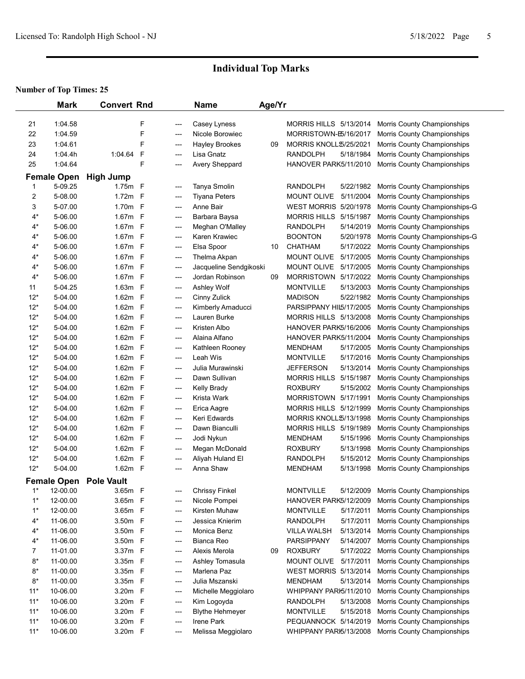|       | <b>Mark</b>                   | <b>Convert Rnd</b>                |   |            | <b>Name</b>                               | Age/Yr |                                  |                                                            |
|-------|-------------------------------|-----------------------------------|---|------------|-------------------------------------------|--------|----------------------------------|------------------------------------------------------------|
| 21    | 1:04.58                       |                                   | F | ---        | Casey Lyness                              |        | MORRIS HILLS 5/13/2014           | Morris County Championships                                |
| 22    | 1:04.59                       |                                   | F | ---        | Nicole Borowiec                           |        | MORRISTOWN-E5/16/2017            | Morris County Championships                                |
| 23    | 1:04.61                       |                                   | F | ---        | <b>Hayley Brookes</b>                     | 09     | MORRIS KNOLL \$/25/2021          | Morris County Championships                                |
| 24    | 1:04.4h                       | 1:04.64                           | F | ---        | Lisa Gnatz                                |        | <b>RANDOLPH</b><br>5/18/1984     | Morris County Championships                                |
| 25    | 1:04.64                       |                                   | F | ---        | Avery Sheppard                            |        | HANOVER PARK5/11/2010            | Morris County Championships                                |
|       |                               |                                   |   |            |                                           |        |                                  |                                                            |
| 1     | <b>Female Open</b><br>5-09.25 | <b>High Jump</b><br>1.75m F       |   |            | Tanya Smolin                              |        | <b>RANDOLPH</b><br>5/22/1982     | <b>Morris County Championships</b>                         |
| 2     | 5-08.00                       | $1.72m$ F                         |   | ---        | <b>Tiyana Peters</b>                      |        | <b>MOUNT OLIVE</b><br>5/11/2004  | Morris County Championships                                |
| 3     | 5-07.00                       | 1.70m F                           |   | ---        | Anne Bair                                 |        | WEST MORRIS 5/20/1978            | Morris County Championships-G                              |
| $4^*$ | 5-06.00                       | 1.67m F                           |   | ---<br>--- | Barbara Baysa                             |        | 5/15/1987<br><b>MORRIS HILLS</b> | Morris County Championships                                |
| $4*$  | 5-06.00                       | 1.67m F                           |   | ---        | Meghan O'Malley                           |        | 5/14/2019<br><b>RANDOLPH</b>     | Morris County Championships                                |
| $4^*$ | 5-06.00                       | 1.67m F                           |   | ---        | Karen Krawiec                             |        | <b>BOONTON</b><br>5/20/1978      | Morris County Championships-G                              |
| $4^*$ | 5-06.00                       | 1.67m F                           |   |            | Elsa Spoor                                | 10     | <b>CHATHAM</b><br>5/17/2022      | Morris County Championships                                |
| $4^*$ | 5-06.00                       | 1.67m F                           |   | ---<br>--- | Thelma Akpan                              |        | <b>MOUNT OLIVE</b><br>5/17/2005  | Morris County Championships                                |
| $4*$  | 5-06.00                       | 1.67m F                           |   |            |                                           |        | MOUNT OLIVE 5/17/2005            |                                                            |
| $4*$  | 5-06.00                       | 1.67m F                           |   | ---        | Jacqueline Sendgikoski<br>Jordan Robinson | 09     | MORRISTOWN 5/17/2022             | Morris County Championships<br>Morris County Championships |
| 11    | 5-04.25                       | 1.63m F                           |   | ---<br>--- | Ashley Wolf                               |        | 5/13/2003<br><b>MONTVILLE</b>    | Morris County Championships                                |
| $12*$ | 5-04.00                       | 1.62m F                           |   | ---        | Cinny Zulick                              |        | <b>MADISON</b>                   | 5/22/1982 Morris County Championships                      |
| $12*$ | 5-04.00                       | 1.62m F                           |   | ---        | Kimberly Amaducci                         |        | PARSIPPANY HIL5/17/2005          | Morris County Championships                                |
| $12*$ | 5-04.00                       | 1.62m F                           |   | ---        | Lauren Burke                              |        | MORRIS HILLS 5/13/2008           | Morris County Championships                                |
| $12*$ | 5-04.00                       | 1.62m F                           |   | ---        | Kristen Albo                              |        | HANOVER PARK5/16/2006            | Morris County Championships                                |
| $12*$ | 5-04.00                       | 1.62m F                           |   | ---        | Alaina Alfano                             |        | HANOVER PARK5/11/2004            | Morris County Championships                                |
| $12*$ | 5-04.00                       | 1.62m F                           |   | ---        | Kathleen Rooney                           |        | 5/17/2005<br><b>MENDHAM</b>      | Morris County Championships                                |
| $12*$ | 5-04.00                       | 1.62m F                           |   | ---        | Leah Wis                                  |        | <b>MONTVILLE</b><br>5/17/2016    | Morris County Championships                                |
| $12*$ | 5-04.00                       | 1.62m F                           |   | ---        | Julia Murawinski                          |        | 5/13/2014<br><b>JEFFERSON</b>    | Morris County Championships                                |
| $12*$ | 5-04.00                       | 1.62m F                           |   | ---        | Dawn Sullivan                             |        | 5/15/1987<br><b>MORRIS HILLS</b> | Morris County Championships                                |
| $12*$ | 5-04.00                       | 1.62m F                           |   | ---        | <b>Kelly Brady</b>                        |        | 5/15/2002<br><b>ROXBURY</b>      | Morris County Championships                                |
| $12*$ | 5-04.00                       | 1.62m F                           |   | ---        | Krista Wark                               |        | MORRISTOWN 5/17/1991             | Morris County Championships                                |
| $12*$ | 5-04.00                       | 1.62m F                           |   | ---        | Erica Aagre                               |        | MORRIS HILLS 5/12/1999           | Morris County Championships                                |
| $12*$ | 5-04.00                       | 1.62m F                           |   | ---        | Keri Edwards                              |        | MORRIS KNOLL \$/13/1998          | Morris County Championships                                |
| $12*$ | 5-04.00                       | 1.62m F                           |   | ---        | Dawn Bianculli                            |        | MORRIS HILLS 5/19/1989           | Morris County Championships                                |
| $12*$ | 5-04.00                       | 1.62m F                           |   | ---        | Jodi Nykun                                |        | <b>MENDHAM</b><br>5/15/1996      | Morris County Championships                                |
| $12*$ | 5-04.00                       | 1.62m F                           |   | ---        | Megan McDonald                            |        | <b>ROXBURY</b><br>5/13/1998      | Morris County Championships                                |
| $12*$ | 5-04.00                       | 1.62m F                           |   | ---        | Aliyah Huland El                          |        | <b>RANDOLPH</b><br>5/15/2012     | Morris County Championships                                |
| $12*$ | 5-04.00                       | 1.62m F                           |   | ---        | Anna Shaw                                 |        | <b>MENDHAM</b><br>5/13/1998      | Morris County Championships                                |
|       |                               |                                   |   |            |                                           |        |                                  |                                                            |
| $1^*$ | 12-00.00                      | Female Open Pole Vault<br>3.65m F |   | ---        | <b>Chrissy Finkel</b>                     |        | <b>MONTVILLE</b><br>5/12/2009    | Morris County Championships                                |
| $1^*$ | 12-00.00                      | 3.65m F                           |   | ---        | Nicole Pompei                             |        | HANOVER PARK5/12/2009            | Morris County Championships                                |
| $1^*$ | 12-00.00                      | 3.65m F                           |   | ---        | Kirsten Muhaw                             |        | <b>MONTVILLE</b><br>5/17/2011    | Morris County Championships                                |
| $4^*$ | 11-06.00                      | 3.50m F                           |   | $---$      | Jessica Knierim                           |        | <b>RANDOLPH</b><br>5/17/2011     | Morris County Championships                                |
| $4^*$ | 11-06.00                      | 3.50m F                           |   | ---        | Monica Benz                               |        | 5/13/2014<br><b>VILLA WALSH</b>  | Morris County Championships                                |
| $4^*$ | 11-06.00                      | 3.50m F                           |   | ---        | Bianca Reo                                |        | <b>PARSIPPANY</b><br>5/14/2007   | Morris County Championships                                |
| 7     | 11-01.00                      | 3.37m F                           |   | ---        | Alexis Merola                             | 09     | <b>ROXBURY</b><br>5/17/2022      | Morris County Championships                                |
| $8*$  | 11-00.00                      | 3.35m F                           |   | ---        | Ashley Tomasula                           |        | MOUNT OLIVE<br>5/17/2011         | Morris County Championships                                |
| $8*$  | 11-00.00                      | 3.35m F                           |   | ---        | Marlena Paz                               |        | WEST MORRIS 5/13/2014            | Morris County Championships                                |
| $8*$  | 11-00.00                      | 3.35m F                           |   | ---        | Julia Mszanski                            |        | <b>MENDHAM</b><br>5/13/2014      | Morris County Championships                                |
| $11*$ | 10-06.00                      | 3.20m F                           |   | ---        | Michelle Meggiolaro                       |        | WHIPPANY PARI5/11/2010           | Morris County Championships                                |
| $11*$ | 10-06.00                      | 3.20m F                           |   | ---        | Kim Logoyda                               |        | <b>RANDOLPH</b><br>5/13/2008     | Morris County Championships                                |
| $11*$ | 10-06.00                      | 3.20m F                           |   | ---        | <b>Blythe Hehmeyer</b>                    |        | <b>MONTVILLE</b><br>5/15/2018    | Morris County Championships                                |
| $11*$ | 10-06.00                      | 3.20m F                           |   | ---        | Irene Park                                |        | PEQUANNOCK 5/14/2019             | Morris County Championships                                |
| $11*$ | 10-06.00                      | 3.20m F                           |   | ---        | Melissa Meggiolaro                        |        | WHIPPANY PARI5/13/2008           | Morris County Championships                                |
|       |                               |                                   |   |            |                                           |        |                                  |                                                            |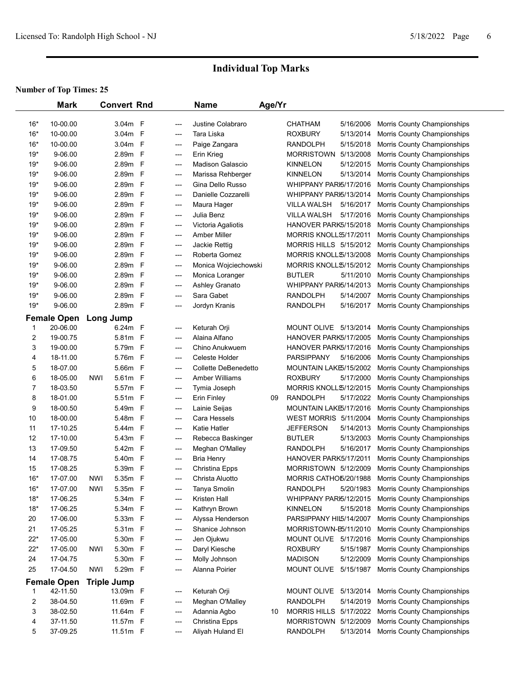|       | <b>Mark</b>        |            | <b>Convert Rnd</b> |              |                | <b>Name</b>           | Age/Yr |                               |           |                             |  |
|-------|--------------------|------------|--------------------|--------------|----------------|-----------------------|--------|-------------------------------|-----------|-----------------------------|--|
| $16*$ | 10-00.00           |            | 3.04 <sub>m</sub>  | F            | ---            | Justine Colabraro     |        | <b>CHATHAM</b>                | 5/16/2006 | Morris County Championships |  |
| $16*$ | 10-00.00           |            | 3.04m              | $\mathsf{F}$ | ---            | Tara Liska            |        | <b>ROXBURY</b>                | 5/13/2014 | Morris County Championships |  |
| $16*$ | 10-00.00           |            | 3.04m              | $\mathsf{F}$ | ---            | Paige Zangara         |        | <b>RANDOLPH</b>               | 5/15/2018 | Morris County Championships |  |
| $19*$ | 9-06.00            |            | 2.89m              | $\mathsf{F}$ | ---            | Erin Krieg            |        | <b>MORRISTOWN</b>             | 5/13/2008 | Morris County Championships |  |
| $19*$ | 9-06.00            |            | 2.89m              | F            | $---$          | Madison Galascio      |        | <b>KINNELON</b>               | 5/12/2015 | Morris County Championships |  |
| $19*$ | 9-06.00            |            | 2.89m F            |              | ---            | Marissa Rehberger     |        | <b>KINNELON</b>               | 5/13/2014 | Morris County Championships |  |
| $19*$ | 9-06.00            |            | 2.89m F            |              | ---            | Gina Dello Russo      |        | WHIPPANY PARI5/17/2016        |           | Morris County Championships |  |
| $19*$ | 9-06.00            |            | 2.89m F            |              | ---            | Danielle Cozzarelli   |        | WHIPPANY PARI5/13/2014        |           | Morris County Championships |  |
| $19*$ | 9-06.00            |            | 2.89m F            |              | ---            | Maura Hager           |        | <b>VILLA WALSH</b>            | 5/16/2017 | Morris County Championships |  |
| $19*$ | 9-06.00            |            | 2.89m F            |              | ---            | Julia Benz            |        | <b>VILLA WALSH</b>            | 5/17/2016 | Morris County Championships |  |
| $19*$ | 9-06.00            |            | 2.89m              | $\mathsf{F}$ | $---$          | Victoria Agaliotis    |        | HANOVER PARK5/15/2018         |           | Morris County Championships |  |
| $19*$ | 9-06.00            |            | 2.89m              | $\mathsf{F}$ | $\overline{a}$ | <b>Amber Miller</b>   |        | MORRIS KNOLLS5/17/2011        |           | Morris County Championships |  |
| $19*$ | 9-06.00            |            | 2.89m              | $\mathsf{F}$ | ---            | Jackie Rettig         |        | <b>MORRIS HILLS 5/15/2012</b> |           | Morris County Championships |  |
| $19*$ | 9-06.00            |            | 2.89m F            |              | ---            | Roberta Gomez         |        | MORRIS KNOLL \$/13/2008       |           | Morris County Championships |  |
| $19*$ | 9-06.00            |            | 2.89m F            |              | ---            | Monica Wojciechowski  |        | MORRIS KNOLL\$/15/2012        |           | Morris County Championships |  |
| $19*$ | 9-06.00            |            | 2.89m F            |              | ---            | Monica Loranger       |        | <b>BUTLER</b>                 | 5/11/2010 | Morris County Championships |  |
| $19*$ | 9-06.00            |            | 2.89m F            |              | ---            | Ashley Granato        |        | WHIPPANY PARI5/14/2013        |           | Morris County Championships |  |
| $19*$ | 9-06.00            |            | 2.89m F            |              | ---            | Sara Gabet            |        | <b>RANDOLPH</b>               | 5/14/2007 | Morris County Championships |  |
| $19*$ | 9-06.00            |            | 2.89m F            |              | ---            | Jordyn Kranis         |        | <b>RANDOLPH</b>               | 5/16/2017 | Morris County Championships |  |
|       | <b>Female Open</b> |            | Long Jump          |              |                |                       |        |                               |           |                             |  |
| 1     | 20-06.00           |            | 6.24m F            |              | ---            | Keturah Orji          |        | MOUNT OLIVE 5/13/2014         |           | Morris County Championships |  |
| 2     | 19-00.75           |            | 5.81m F            |              | ---            | Alaina Alfano         |        | HANOVER PARK5/17/2005         |           | Morris County Championships |  |
| 3     | 19-00.00           |            | 5.79m F            |              | ---            | Chino Anukwuem        |        | HANOVER PARK5/17/2016         |           | Morris County Championships |  |
| 4     | 18-11.00           |            | 5.76m F            |              | ---            | Celeste Holder        |        | <b>PARSIPPANY</b>             | 5/16/2006 | Morris County Championships |  |
| 5     | 18-07.00           |            | 5.66m F            |              | ---            | Collette DeBenedetto  |        | MOUNTAIN LAKE5/15/2002        |           | Morris County Championships |  |
| 6     | 18-05.00           | NWI        | 5.61m F            |              | ---            | <b>Amber Williams</b> |        | <b>ROXBURY</b>                | 5/17/2000 | Morris County Championships |  |
| 7     | 18-03.50           |            | 5.57m F            |              | ---            | Tymia Joseph          |        | MORRIS KNOLL \$/12/2015       |           | Morris County Championships |  |
| 8     | 18-01.00           |            | 5.51m F            |              | ---            | Erin Finley           | 09     | <b>RANDOLPH</b>               | 5/17/2022 | Morris County Championships |  |
| 9     | 18-00.50           |            | 5.49m F            |              | ---            | Lainie Seijas         |        | MOUNTAIN LAKE5/17/2016        |           | Morris County Championships |  |
| 10    | 18-00.00           |            | 5.48m F            |              | ---            | Cara Hessels          |        | <b>WEST MORRIS 5/11/2004</b>  |           | Morris County Championships |  |
| 11    | 17-10.25           |            | 5.44m F            |              | ---            | Katie Hatler          |        | <b>JEFFERSON</b>              | 5/14/2013 | Morris County Championships |  |
| 12    | 17-10.00           |            | 5.43m              | $\mathsf{F}$ | ---            | Rebecca Baskinger     |        | <b>BUTLER</b>                 | 5/13/2003 | Morris County Championships |  |
| 13    | 17-09.50           |            | 5.42m              | $\mathsf{F}$ | ---            | Meghan O'Malley       |        | <b>RANDOLPH</b>               | 5/16/2017 | Morris County Championships |  |
| 14    | 17-08.75           |            | 5.40m              | $\mathsf F$  | ---            | <b>Bria Henry</b>     |        | HANOVER PARK5/17/2011         |           | Morris County Championships |  |
| 15    | 17-08.25           |            | 5.39m              | $\mathsf F$  | ---            | Christina Epps        |        | MORRISTOWN 5/12/2009          |           | Morris County Championships |  |
| $16*$ | 17-07.00           | NWI        | 5.35m F            |              | ---            | Christa Aluotto       |        | MORRIS CATHO5/20/1988         |           | Morris County Championships |  |
| $16*$ | 17-07.00           | <b>NWI</b> | 5.35m F            |              | ---            | Tanya Smolin          |        | <b>RANDOLPH</b>               | 5/20/1983 | Morris County Championships |  |
| $18*$ | 17-06.25           |            | 5.34m F            |              | ---            | Kristen Hall          |        | WHIPPANY PARI5/12/2015        |           | Morris County Championships |  |
| $18*$ | 17-06.25           |            | 5.34m F            |              | ---            | Kathryn Brown         |        | <b>KINNELON</b>               | 5/15/2018 | Morris County Championships |  |
| 20    | 17-06.00           |            | 5.33m F            |              | ---            | Alyssa Henderson      |        | PARSIPPANY HIL5/14/2007       |           | Morris County Championships |  |
| 21    | 17-05.25           |            | 5.31m F            |              | ---            | Shanice Johnson       |        | MORRISTOWN-E5/11/2010         |           | Morris County Championships |  |
| $22*$ | 17-05.00           |            | 5.30m F            |              | ---            | Jen Ojukwu            |        | MOUNT OLIVE 5/17/2016         |           | Morris County Championships |  |
| $22*$ | 17-05.00           | <b>NWI</b> | 5.30m F            |              | ---            | Daryl Kiesche         |        | <b>ROXBURY</b>                | 5/15/1987 | Morris County Championships |  |
| 24    | 17-04.75           |            | 5.30m F            |              | ---            | Molly Johnson         |        | <b>MADISON</b>                | 5/12/2009 | Morris County Championships |  |
| 25    | 17-04.50           | <b>NWI</b> | 5.29m F            |              | ---            | Alanna Poirier        |        | MOUNT OLIVE                   | 5/15/1987 | Morris County Championships |  |
|       | <b>Female Open</b> |            | <b>Triple Jump</b> |              |                |                       |        |                               |           |                             |  |
| 1     | 42-11.50           |            | 13.09m F           |              | ---            | Keturah Orji          |        | MOUNT OLIVE                   | 5/13/2014 | Morris County Championships |  |
| 2     | 38-04.50           |            | 11.69m F           |              | ---            | Meghan O'Malley       |        | <b>RANDOLPH</b>               | 5/14/2019 | Morris County Championships |  |
| 3     | 38-02.50           |            | 11.64m F           |              | ---            | Adannia Agbo          | 10     | MORRIS HILLS 5/17/2022        |           | Morris County Championships |  |
| 4     | 37-11.50           |            | 11.57m F           |              | ---            | Christina Epps        |        | MORRISTOWN 5/12/2009          |           | Morris County Championships |  |
| 5     | 37-09.25           |            | 11.51m F           |              | ---            | Aliyah Huland El      |        | <b>RANDOLPH</b>               | 5/13/2014 | Morris County Championships |  |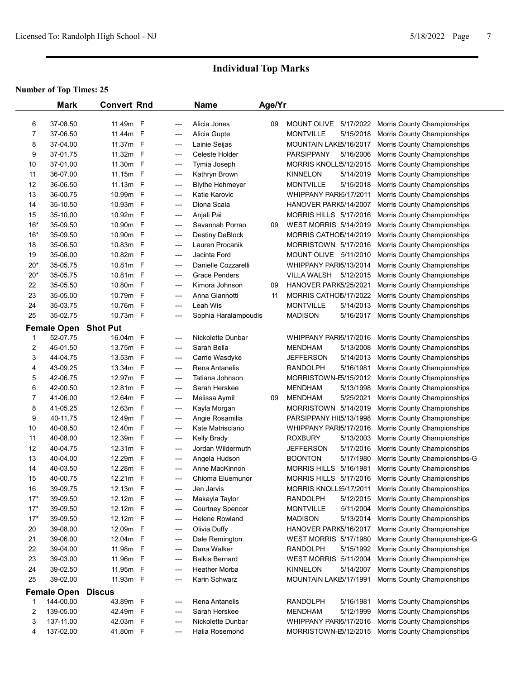|       | <b>Mark</b>        | <b>Convert Rnd</b> |              |                          | <b>Name</b>             | Age/Yr |                              |           |                               |  |
|-------|--------------------|--------------------|--------------|--------------------------|-------------------------|--------|------------------------------|-----------|-------------------------------|--|
|       |                    |                    |              |                          |                         |        |                              |           |                               |  |
| 6     | 37-08.50           | 11.49m F           |              | ---                      | Alicia Jones            | 09     | MOUNT OLIVE 5/17/2022        |           | Morris County Championships   |  |
| 7     | 37-06.50           | 11.44m F           |              | ---                      | Alicia Gupte            |        | <b>MONTVILLE</b>             | 5/15/2018 | Morris County Championships   |  |
| 8     | 37-04.00           | 11.37m F           |              | ---                      | Lainie Seijas           |        | MOUNTAIN LAKE5/16/2017       |           | Morris County Championships   |  |
| 9     | 37-01.75           | 11.32m F           |              | ---                      | Celeste Holder          |        | <b>PARSIPPANY</b>            | 5/16/2006 | Morris County Championships   |  |
| 10    | 37-01.00           | 11.30m             | - F          | ---                      | Tymia Joseph            |        | MORRIS KNOLL \$/12/2015      |           | Morris County Championships   |  |
| 11    | 36-07.00           | 11.15m F           |              | ---                      | Kathryn Brown           |        | <b>KINNELON</b>              | 5/14/2019 | Morris County Championships   |  |
| 12    | 36-06.50           | 11.13m             | - F          | ---                      | <b>Blythe Hehmeyer</b>  |        | <b>MONTVILLE</b>             | 5/15/2018 | Morris County Championships   |  |
| 13    | 36-00.75           | 10.99m F           |              | ---                      | Katie Karovic           |        | WHIPPANY PARI5/17/2011       |           | Morris County Championships   |  |
| 14    | 35-10.50           | 10.93m             | $\mathsf{F}$ | ---                      | Diona Scala             |        | HANOVER PARK5/14/2007        |           | Morris County Championships   |  |
| 15    | 35-10.00           | 10.92m F           |              | $\overline{\phantom{a}}$ | Anjali Pai              |        | MORRIS HILLS 5/17/2016       |           | Morris County Championships   |  |
| $16*$ | 35-09.50           | 10.90m F           |              | ---                      | Savannah Porrao         | 09     | WEST MORRIS 5/14/2019        |           | Morris County Championships   |  |
| $16*$ | 35-09.50           | 10.90m F           |              | $---$                    | <b>Destiny DeBlock</b>  |        | MORRIS CATHO 5/14/2019       |           | Morris County Championships   |  |
| 18    | 35-06.50           | 10.83m F           |              | ---                      | Lauren Procanik         |        | MORRISTOWN 5/17/2016         |           | Morris County Championships   |  |
| 19    | 35-06.00           | 10.82m             | - F          | ---                      | Jacinta Ford            |        | MOUNT OLIVE 5/11/2010        |           | Morris County Championships   |  |
| $20*$ | 35-05.75           | 10.81m F           |              | ---                      | Danielle Cozzarelli     |        | WHIPPANY PARI5/13/2014       |           | Morris County Championships   |  |
| $20*$ | 35-05.75           | 10.81m             | - F          | ---                      | <b>Grace Penders</b>    |        | VILLA WALSH                  | 5/12/2015 | Morris County Championships   |  |
| 22    | 35-05.50           | 10.80m             | $\mathsf{F}$ | ---                      | Kimora Johnson          | 09     | HANOVER PARK5/25/2021        |           | Morris County Championships   |  |
| 23    | 35-05.00           | 10.79m             | $\mathsf F$  | ---                      | Anna Giannotti          | 11     | MORRIS CATHO5/17/2022        |           | Morris County Championships   |  |
| 24    | 35-03.75           | 10.76m             | $\mathsf F$  | ---                      | Leah Wis                |        | <b>MONTVILLE</b>             | 5/14/2013 | Morris County Championships   |  |
| 25    | 35-02.75           | 10.73m F           |              | ---                      | Sophia Haralampoudis    |        | <b>MADISON</b>               | 5/16/2017 | Morris County Championships   |  |
|       | <b>Female Open</b> | <b>Shot Put</b>    |              |                          |                         |        |                              |           |                               |  |
| 1     | 52-07.75           | 16.04m F           |              | ---                      | Nickolette Dunbar       |        | WHIPPANY PARI5/17/2016       |           | Morris County Championships   |  |
| 2     | 45-01.50           | 13.75m F           |              | ---                      | Sarah Bella             |        | MENDHAM                      | 5/13/2008 | Morris County Championships   |  |
| 3     | 44-04.75           | 13.53m F           |              | ---                      | Carrie Wasdyke          |        | <b>JEFFERSON</b>             | 5/14/2013 | Morris County Championships   |  |
| 4     | 43-09.25           | 13.34m             | $\mathsf{F}$ | $---$                    | Rena Antanelis          |        | <b>RANDOLPH</b>              | 5/16/1981 | Morris County Championships   |  |
| 5     | 42-06.75           | 12.97m             | $\mathsf{F}$ | ---                      | Tatiana Johnson         |        | MORRISTOWN-E5/15/2012        |           | Morris County Championships   |  |
| 6     | 42-00.50           | 12.81m             | $\mathsf{F}$ | ---                      | Sarah Herskee           |        | <b>MENDHAM</b>               | 5/13/1998 | Morris County Championships   |  |
| 7     | 41-06.00           | 12.64m             | $\mathsf F$  | ---                      | Melissa Aymil           | 09     | <b>MENDHAM</b>               | 5/25/2021 | Morris County Championships   |  |
| 8     | 41-05.25           | 12.63m             | F            | ---                      | Kayla Morgan            |        | MORRISTOWN 5/14/2019         |           | Morris County Championships   |  |
| 9     | 40-11.75           | 12.49m             | $\mathsf{F}$ | ---                      | Angie Rosamilia         |        | PARSIPPANY HIL5/13/1998      |           | Morris County Championships   |  |
| 10    | 40-08.50           | 12.40m             | $\mathsf{F}$ | ---                      | Kate Matrisciano        |        | WHIPPANY PARI5/17/2016       |           | Morris County Championships   |  |
| 11    | 40-08.00           | 12.39m             | F            | ---                      | Kelly Brady             |        | <b>ROXBURY</b>               | 5/13/2003 | Morris County Championships   |  |
| 12    | 40-04.75           | 12.31m             | - F          | ---                      | Jordan Wildermuth       |        | <b>JEFFERSON</b>             | 5/17/2016 | Morris County Championships   |  |
| 13    | 40-04.00           | 12.29m             | $\mathsf{F}$ | ---                      | Angela Hudson           |        | <b>BOONTON</b>               | 5/17/1980 | Morris County Championships-G |  |
| 14    | 40-03.50           | 12.28m             | $\mathsf{F}$ | ---                      | Anne MacKinnon          |        | <b>MORRIS HILLS</b>          | 5/16/1981 | Morris County Championships   |  |
| 15    | 40-00.75           | 12.21m F           |              | ---                      | Chioma Eluemunor        |        | MORRIS HILLS 5/17/2016       |           | Morris County Championships   |  |
| 16    | 39-09.75           | 12.13m F           |              |                          | Jen Jarvis              |        | MORRIS KNOLLS5/17/2011       |           | Morris County Championships   |  |
| $17*$ | 39-09.50           | 12.12m F           |              | $---$                    | Makayla Taylor          |        | <b>RANDOLPH</b>              | 5/12/2015 | Morris County Championships   |  |
| $17*$ | 39-09.50           | 12.12m F           |              | $---$                    | <b>Courtney Spencer</b> |        | <b>MONTVILLE</b>             | 5/11/2004 | Morris County Championships   |  |
| $17*$ | 39-09.50           | 12.12m F           |              | ---                      | <b>Helene Rowland</b>   |        | <b>MADISON</b>               | 5/13/2014 | Morris County Championships   |  |
| 20    | 39-08.00           | 12.09m F           |              | ---                      | Olivia Duffy            |        | HANOVER PARK5/16/2017        |           | Morris County Championships   |  |
| 21    | 39-06.00           | 12.04m F           |              | ---                      | Dale Remington          |        | WEST MORRIS 5/17/1980        |           | Morris County Championships-G |  |
| 22    | 39-04.00           | 11.98m F           |              | $\overline{\phantom{a}}$ | Dana Walker             |        | <b>RANDOLPH</b>              | 5/15/1992 | Morris County Championships   |  |
| 23    | 39-03.00           | 11.96m F           |              | $---$                    | <b>Balkis Bernard</b>   |        | <b>WEST MORRIS 5/11/2004</b> |           | Morris County Championships   |  |
| 24    | 39-02.50           | 11.95m F           |              | $---$                    | <b>Heather Morba</b>    |        | <b>KINNELON</b>              | 5/14/2007 | Morris County Championships   |  |
| 25    | 39-02.00           | 11.93m F           |              | ---                      | Karin Schwarz           |        | MOUNTAIN LAKE5/17/1991       |           | Morris County Championships   |  |
|       | <b>Female Open</b> | <b>Discus</b>      |              |                          |                         |        |                              |           |                               |  |
| 1     | 144-00.00          | 43.89m F           |              | $---$                    | Rena Antanelis          |        | <b>RANDOLPH</b>              | 5/16/1981 | Morris County Championships   |  |
| 2     | 139-05.00          | 42.49m F           |              | ---                      | Sarah Herskee           |        | <b>MENDHAM</b>               | 5/12/1999 | Morris County Championships   |  |
| 3     | 137-11.00          | 42.03m F           |              | ---                      | Nickolette Dunbar       |        | WHIPPANY PARI5/17/2016       |           | Morris County Championships   |  |
| 4     | 137-02.00          | 41.80m F           |              | ---                      | Halia Rosemond          |        | MORRISTOWN-E5/12/2015        |           | Morris County Championships   |  |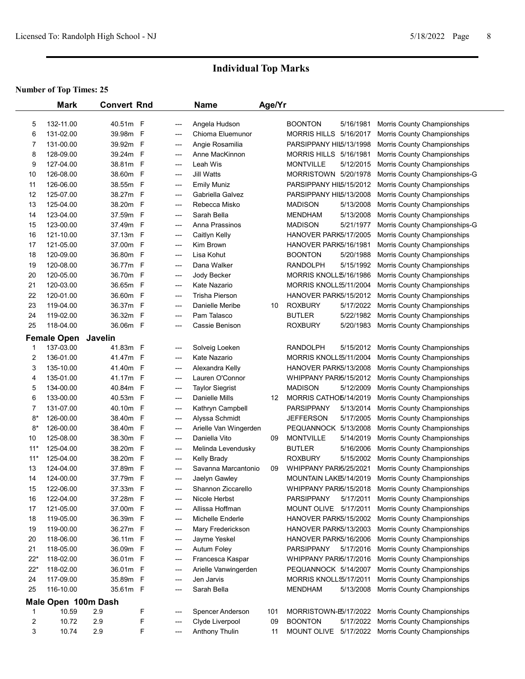|       | <b>Mark</b>                  | <b>Convert Rnd</b> |              |              | <b>Name</b>            | Age/Yr |                               |           |                               |
|-------|------------------------------|--------------------|--------------|--------------|------------------------|--------|-------------------------------|-----------|-------------------------------|
| 5     | 132-11.00                    | 40.51m             | F            | ---          | Angela Hudson          |        | <b>BOONTON</b>                | 5/16/1981 | Morris County Championships   |
| 6     | 131-02.00                    | 39.98m             | F            | ---          | Chioma Eluemunor       |        | MORRIS HILLS 5/16/2017        |           | Morris County Championships   |
| 7     | 131-00.00                    | 39.92m             | F            | ---          | Angie Rosamilia        |        | PARSIPPANY HIL5/13/1998       |           | Morris County Championships   |
| 8     | 128-09.00                    | 39.24m             | $\mathsf{F}$ | ---          | Anne MacKinnon         |        | <b>MORRIS HILLS 5/16/1981</b> |           | Morris County Championships   |
| 9     | 127-04.00                    | 38.81m             | F            | ---          | Leah Wis               |        | <b>MONTVILLE</b>              | 5/12/2015 | Morris County Championships   |
| 10    | 126-08.00                    | 38.60m             | F            | ---          | <b>Jill Watts</b>      |        | MORRISTOWN 5/20/1978          |           | Morris County Championships-G |
| 11    | 126-06.00                    | 38.55m             | F            | ---          | <b>Emily Muniz</b>     |        | PARSIPPANY HIL5/15/2012       |           | Morris County Championships   |
| 12    | 125-07.00                    | 38.27m             | F            | ---          | Gabriella Galvez       |        | PARSIPPANY HIL5/13/2008       |           | Morris County Championships   |
| 13    | 125-04.00                    | 38.20m             | F            |              | Rebecca Misko          |        | <b>MADISON</b>                | 5/13/2008 |                               |
| 14    | 123-04.00                    | 37.59m             | F            | ---<br>$---$ | Sarah Bella            |        | <b>MENDHAM</b>                | 5/13/2008 | Morris County Championships   |
| 15    | 123-00.00                    | 37.49m             | F            |              | Anna Prassinos         |        | <b>MADISON</b>                | 5/21/1977 | Morris County Championships   |
|       |                              |                    |              | ---          |                        |        | HANOVER PARK5/17/2005         |           | Morris County Championships-G |
| 16    | 121-10.00                    | 37.13m             | F            | ---          | Caitlyn Kelly          |        |                               |           | Morris County Championships   |
| 17    | 121-05.00                    | 37.00m             | - F          | ---          | Kim Brown              |        | HANOVER PARK5/16/1981         |           | Morris County Championships   |
| 18    | 120-09.00                    | 36.80m F           |              | ---          | Lisa Kohut             |        | <b>BOONTON</b>                | 5/20/1988 | Morris County Championships   |
| 19    | 120-08.00                    | 36.77m F           |              | ---          | Dana Walker            |        | RANDOLPH                      | 5/15/1992 | Morris County Championships   |
| 20    | 120-05.00                    | 36.70m F           |              | ---          | Jody Becker            |        | MORRIS KNOLL \$/16/1986       |           | Morris County Championships   |
| 21    | 120-03.00                    | 36.65m F           |              | ---          | Kate Nazario           |        | MORRIS KNOLLS5/11/2004        |           | Morris County Championships   |
| 22    | 120-01.00                    | 36.60m F           |              | ---          | <b>Trisha Pierson</b>  |        | HANOVER PARK5/15/2012         |           | Morris County Championships   |
| 23    | 119-04.00                    | 36.37m             | F            | ---          | Danielle Meribe        | 10     | <b>ROXBURY</b>                | 5/17/2022 | Morris County Championships   |
| 24    | 119-02.00                    | 36.32m             | F            | ---          | Pam Talasco            |        | <b>BUTLER</b>                 | 5/22/1982 | Morris County Championships   |
| 25    | 118-04.00                    | 36.06m F           |              | ---          | Cassie Benison         |        | <b>ROXBURY</b>                | 5/20/1983 | Morris County Championships   |
|       | <b>Female Open</b>           | Javelin            |              |              |                        |        |                               |           |                               |
| 1     | 137-03.00                    | 41.83m F           |              | ---          | Solveig Loeken         |        | <b>RANDOLPH</b>               | 5/15/2012 | Morris County Championships   |
| 2     | 136-01.00                    | 41.47m F           |              | ---          | Kate Nazario           |        | MORRIS KNOLLS5/11/2004        |           | Morris County Championships   |
| 3     | 135-10.00                    | 41.40m F           |              | ---          | Alexandra Kelly        |        | HANOVER PARK5/13/2008         |           | Morris County Championships   |
| 4     | 135-01.00                    | 41.17m             | - F          | ---          | Lauren O'Connor        |        | WHIPPANY PARI5/15/2012        |           | Morris County Championships   |
| 5     | 134-00.00                    | 40.84m F           |              | ---          | <b>Taylor Siegrist</b> |        | <b>MADISON</b>                | 5/12/2009 | Morris County Championships   |
| 6     | 133-00.00                    | 40.53m             | F            | ---          | Danielle Mills         | 12     | MORRIS CATHO5/14/2019         |           | Morris County Championships   |
| 7     | 131-07.00                    | 40.10m             | F            | ---          | Kathryn Campbell       |        | <b>PARSIPPANY</b>             | 5/13/2014 | Morris County Championships   |
| $8*$  | 126-00.00                    | 38.40m             | F            | ---          | Alyssa Schmidt         |        | <b>JEFFERSON</b>              | 5/17/2005 | Morris County Championships   |
| $8*$  | 126-00.00                    | 38.40m             | F            | ---          | Arielle Van Wingerden  |        | PEQUANNOCK 5/13/2008          |           | Morris County Championships   |
| 10    | 125-08.00                    | 38.30m             | F            | ---          | Daniella Vito          | 09     | <b>MONTVILLE</b>              | 5/14/2019 | Morris County Championships   |
| $11*$ | 125-04.00                    | 38.20m             | F            | ---          | Melinda Levendusky     |        | <b>BUTLER</b>                 | 5/16/2006 | Morris County Championships   |
| $11*$ | 125-04.00                    | 38.20m             | F            | ---          | Kelly Brady            |        | <b>ROXBURY</b>                | 5/15/2002 | Morris County Championships   |
| 13    | 124-04.00                    | 37.89m             | F            | ---          | Savanna Marcantonio    | 09     | WHIPPANY PARI5/25/2021        |           | Morris County Championships   |
| 14    | 124-00.00                    | 37.79m             | F            | ---          | Jaelyn Gawley          |        | MOUNTAIN LAKE5/14/2019        |           | Morris County Championships   |
| 15    | 122-06.00                    | 37.33m F           |              | ---          | Shannon Ziccarello     |        | WHIPPANY PARI5/15/2018        |           | Morris County Championships   |
| 16    | 122-04.00                    | 37.28m             | F            | ---          | Nicole Herbst          |        | <b>PARSIPPANY</b>             | 5/17/2011 | Morris County Championships   |
| 17    | 121-05.00                    | 37.00m             | - F          | ---          | Allissa Hoffman        |        | MOUNT OLIVE 5/17/2011         |           | Morris County Championships   |
| 18    | 119-05.00                    | 36.39m             | -F           | ---          | Michelle Enderle       |        | HANOVER PARK5/15/2002         |           | Morris County Championships   |
| 19    | 119-00.00                    | 36.27m F           |              | ---          | Mary Frederickson      |        | HANOVER PARK5/13/2003         |           | Morris County Championships   |
| 20    | 118-06.00                    | 36.11m             | - F          | ---          | Jayme Yeskel           |        | HANOVER PARK5/16/2006         |           | Morris County Championships   |
| 21    | 118-05.00                    | 36.09m             | - F          | ---          | Autum Foley            |        | <b>PARSIPPANY</b>             | 5/17/2016 | Morris County Championships   |
| $22*$ | 118-02.00                    | 36.01m F           |              | ---          | Francesca Kaspar       |        | WHIPPANY PARI5/17/2016        |           | Morris County Championships   |
| $22*$ | 118-02.00                    | 36.01m F           |              | ---          | Arielle Vanwingerden   |        | PEQUANNOCK 5/14/2007          |           | Morris County Championships   |
| 24    | 117-09.00                    | 35.89m F           |              | ---          | Jen Jarvis             |        | MORRIS KNOLLS5/17/2011        |           | Morris County Championships   |
| 25    | 116-10.00                    | 35.61m F           |              | ---          | Sarah Bella            |        | MENDHAM                       | 5/13/2008 | Morris County Championships   |
|       |                              |                    |              |              |                        |        |                               |           |                               |
| 1     | Male Open 100m Dash<br>10.59 | 2.9                | F            |              | Spencer Anderson       | 101    | MORRISTOWN-E5/17/2022         |           | Morris County Championships   |
|       | 10.72                        | 2.9                | F            | ---          |                        |        | <b>BOONTON</b>                | 5/17/2022 | Morris County Championships   |
| 2     |                              |                    |              | ---          | Clyde Liverpool        | 09     |                               |           |                               |
| 3     | 10.74                        | 2.9                | F            | ---          | <b>Anthony Thulin</b>  | 11     | MOUNT OLIVE 5/17/2022         |           | Morris County Championships   |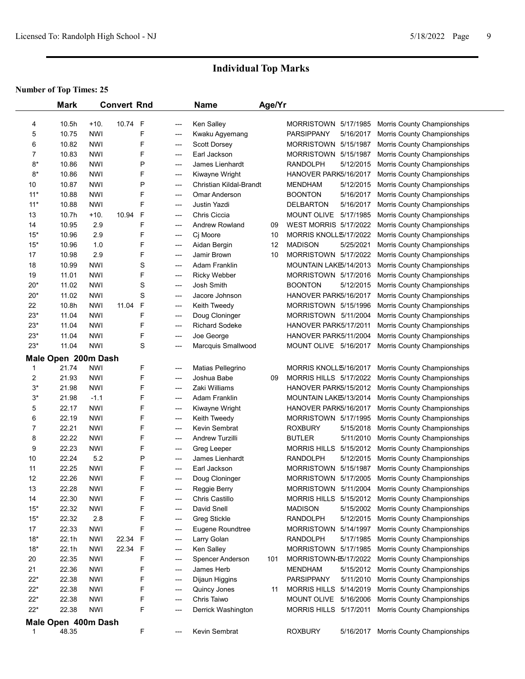|             | <b>Mark</b>         |            | <b>Convert Rnd</b> |   |       | <b>Name</b>             | Age/Yr |                         |           |                             |  |
|-------------|---------------------|------------|--------------------|---|-------|-------------------------|--------|-------------------------|-----------|-----------------------------|--|
|             |                     |            |                    |   |       |                         |        |                         |           |                             |  |
| 4           | 10.5h               | $+10.$     | 10.74              | F | ---   | Ken Salley              |        | MORRISTOWN 5/17/1985    |           | Morris County Championships |  |
| 5           | 10.75               | <b>NWI</b> |                    | F | ---   | Kwaku Agyemang          |        | <b>PARSIPPANY</b>       | 5/16/2017 | Morris County Championships |  |
| 6           | 10.82               | <b>NWI</b> |                    | F | ---   | <b>Scott Dorsey</b>     |        | MORRISTOWN 5/15/1987    |           | Morris County Championships |  |
| 7           | 10.83               | <b>NWI</b> |                    | F | ---   | Earl Jackson            |        | MORRISTOWN 5/15/1987    |           | Morris County Championships |  |
| $8*$        | 10.86               | <b>NWI</b> |                    | Ρ | $---$ | James Lienhardt         |        | <b>RANDOLPH</b>         | 5/12/2015 | Morris County Championships |  |
| $8*$        | 10.86               | <b>NWI</b> |                    | F | ---   | Kiwayne Wright          |        | HANOVER PARK5/16/2017   |           | Morris County Championships |  |
| 10          | 10.87               | <b>NWI</b> |                    | Ρ | ---   | Christian Kildal-Brandt |        | <b>MENDHAM</b>          | 5/12/2015 | Morris County Championships |  |
| $11*$       | 10.88               | <b>NWI</b> |                    | F | ---   | Omar Anderson           |        | <b>BOONTON</b>          | 5/16/2017 | Morris County Championships |  |
| $11*$       | 10.88               | <b>NWI</b> |                    | F | ---   | <b>Justin Yazdi</b>     |        | <b>DELBARTON</b>        | 5/16/2017 | Morris County Championships |  |
| 13          | 10.7h               | $+10.$     | 10.94              | F | ---   | Chris Ciccia            |        | MOUNT OLIVE             | 5/17/1985 | Morris County Championships |  |
| 14          | 10.95               | 2.9        |                    | F | $---$ | <b>Andrew Rowland</b>   | 09     | WEST MORRIS 5/17/2022   |           | Morris County Championships |  |
| $15*$       | 10.96               | 2.9        |                    | F | ---   | Cj Moore                | 10     | MORRIS KNOLL \$/17/2022 |           | Morris County Championships |  |
| $15*$       | 10.96               | 1.0        |                    | F | ---   | Aidan Bergin            | 12     | <b>MADISON</b>          | 5/25/2021 | Morris County Championships |  |
| 17          | 10.98               | 2.9        |                    | F | ---   | Jamir Brown             | 10     | MORRISTOWN 5/17/2022    |           | Morris County Championships |  |
| 18          | 10.99               | <b>NWI</b> |                    | S | ---   | Adam Franklin           |        | MOUNTAIN LAKE5/14/2013  |           | Morris County Championships |  |
| 19          | 11.01               | <b>NWI</b> |                    | F | ---   | <b>Ricky Webber</b>     |        | MORRISTOWN 5/17/2016    |           | Morris County Championships |  |
| $20*$       | 11.02               | <b>NWI</b> |                    | S | ---   | Josh Smith              |        | <b>BOONTON</b>          | 5/12/2015 | Morris County Championships |  |
| $20*$       | 11.02               | NWI        |                    | S | ---   | Jacore Johnson          |        | HANOVER PARK5/16/2017   |           | Morris County Championships |  |
| 22          | 10.8h               | <b>NWI</b> | 11.04              | F | ---   | Keith Tweedy            |        | MORRISTOWN 5/15/1996    |           | Morris County Championships |  |
| $23*$       | 11.04               | <b>NWI</b> |                    | F | ---   | Doug Cloninger          |        | MORRISTOWN 5/11/2004    |           | Morris County Championships |  |
| $23*$       | 11.04               | <b>NWI</b> |                    | F | ---   | <b>Richard Sodeke</b>   |        | HANOVER PARK5/17/2011   |           | Morris County Championships |  |
| $23*$       | 11.04               | <b>NWI</b> |                    | F | ---   | Joe George              |        | HANOVER PARK5/11/2004   |           | Morris County Championships |  |
| $23*$       | 11.04               | <b>NWI</b> |                    | S | ---   | Marcquis Smallwood      |        | MOUNT OLIVE 5/16/2017   |           | Morris County Championships |  |
|             | Male Open 200m Dash |            |                    |   |       |                         |        |                         |           |                             |  |
| -1          | 21.74               | <b>NWI</b> |                    | F | ---   | Matias Pellegrino       |        | MORRIS KNOLL \$/16/2017 |           | Morris County Championships |  |
| 2           | 21.93               | <b>NWI</b> |                    | F | ---   | Joshua Babe             | 09     | MORRIS HILLS 5/17/2022  |           | Morris County Championships |  |
| $3*$        | 21.98               | <b>NWI</b> |                    | F | $---$ | Zaki Williams           |        | HANOVER PARK5/15/2012   |           | Morris County Championships |  |
| $3^*$       | 21.98               | $-1.1$     |                    | F | ---   | Adam Franklin           |        | MOUNTAIN LAKE5/13/2014  |           | Morris County Championships |  |
| 5           | 22.17               | <b>NWI</b> |                    | F | ---   | Kiwayne Wright          |        | HANOVER PARK5/16/2017   |           | Morris County Championships |  |
| 6           | 22.19               | <b>NWI</b> |                    | F | ---   | Keith Tweedy            |        | MORRISTOWN 5/17/1995    |           | Morris County Championships |  |
| 7           | 22.21               | <b>NWI</b> |                    | F | ---   | Kevin Sembrat           |        | <b>ROXBURY</b>          | 5/15/2018 | Morris County Championships |  |
| 8           | 22.22               | <b>NWI</b> |                    | F | ---   | Andrew Turzilli         |        | <b>BUTLER</b>           | 5/11/2010 | Morris County Championships |  |
| 9           | 22.23               | <b>NWI</b> |                    | F | ---   | Greg Leeper             |        | MORRIS HILLS 5/15/2012  |           | Morris County Championships |  |
| 10          | 22.24               | 5.2        |                    | Ρ | ---   | James Lienhardt         |        | <b>RANDOLPH</b>         | 5/12/2015 | Morris County Championships |  |
| 11          | 22.25               | <b>NWI</b> |                    | F | ---   | Earl Jackson            |        | MORRISTOWN 5/15/1987    |           | Morris County Championships |  |
| 12          | 22.26               | <b>NWI</b> |                    | F | ---   | Doug Cloninger          |        | MORRISTOWN 5/17/2005    |           | Morris County Championships |  |
| 13          | 22.28               | <b>NWI</b> |                    | F | ---   | Reggie Berry            |        | MORRISTOWN 5/11/2004    |           | Morris County Championships |  |
| 14          | 22.30               | <b>NWI</b> |                    | F | ---   | Chris Castillo          |        | MORRIS HILLS 5/15/2012  |           | Morris County Championships |  |
| $15*$       | 22.32               | <b>NWI</b> |                    | F | ---   | David Snell             |        | <b>MADISON</b>          | 5/15/2002 | Morris County Championships |  |
| $15*$       | 22.32               | $2.8\,$    |                    | F | ---   | Greg Stickle            |        | <b>RANDOLPH</b>         | 5/12/2015 | Morris County Championships |  |
| 17          | 22.33               | <b>NWI</b> |                    | F | ---   | Eugene Roundtree        |        | MORRISTOWN 5/14/1997    |           | Morris County Championships |  |
| $18*$       | 22.1h               | <b>NWI</b> | 22.34              | F | ---   | Larry Golan             |        | <b>RANDOLPH</b>         | 5/17/1985 | Morris County Championships |  |
| $18*$       | 22.1h               | <b>NWI</b> | 22.34              | F | ---   | Ken Salley              |        | MORRISTOWN 5/17/1985    |           | Morris County Championships |  |
| 20          | 22.35               | <b>NWI</b> |                    | F | ---   | Spencer Anderson        | 101    | MORRISTOWN-E5/17/2022   |           | Morris County Championships |  |
| 21          | 22.36               | <b>NWI</b> |                    | F | ---   | James Herb              |        | <b>MENDHAM</b>          | 5/15/2012 | Morris County Championships |  |
| $22*$       | 22.38               | <b>NWI</b> |                    | F | ---   | Dijaun Higgins          |        | <b>PARSIPPANY</b>       | 5/11/2010 | Morris County Championships |  |
| $22*$       | 22.38               | <b>NWI</b> |                    | F | ---   | Quincy Jones            | 11     | MORRIS HILLS 5/14/2019  |           | Morris County Championships |  |
| $22*$       | 22.38               | <b>NWI</b> |                    | F | ---   | Chris Taiwo             |        | MOUNT OLIVE 5/16/2006   |           | Morris County Championships |  |
| $22*$       | 22.38               | <b>NWI</b> |                    | F | ---   | Derrick Washington      |        | MORRIS HILLS 5/17/2011  |           | Morris County Championships |  |
|             | Male Open 400m Dash |            |                    |   |       |                         |        |                         |           |                             |  |
| $\mathbf 1$ | 48.35               |            |                    | F | ---   | Kevin Sembrat           |        | <b>ROXBURY</b>          | 5/16/2017 | Morris County Championships |  |
|             |                     |            |                    |   |       |                         |        |                         |           |                             |  |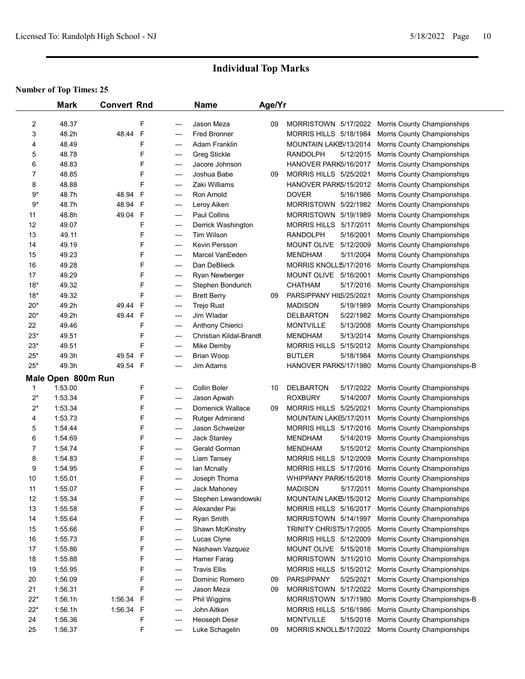|                | <b>Mark</b>        | <b>Convert Rnd</b> |              |                          | <b>Name</b>                         | Age/Yr |                                                  |                                                            |
|----------------|--------------------|--------------------|--------------|--------------------------|-------------------------------------|--------|--------------------------------------------------|------------------------------------------------------------|
|                |                    |                    |              |                          |                                     |        |                                                  |                                                            |
| 2              | 48.37              |                    | F            | ---                      | Jason Meza                          | 09     | MORRISTOWN 5/17/2022                             | Morris County Championships                                |
| 3              | 48.2h              | 48.44              | $\mathsf{F}$ | $---$                    | <b>Fred Bronner</b>                 |        | MORRIS HILLS 5/18/1984                           | Morris County Championships                                |
| 4              | 48.49              |                    | F            | $---$                    | Adam Franklin                       |        | MOUNTAIN LAKE5/13/2014                           | Morris County Championships                                |
| 5              | 48.78              |                    | F            | $---$                    | <b>Greg Stickle</b>                 |        | <b>RANDOLPH</b><br>5/12/2015                     | Morris County Championships                                |
| 6              | 48.83              |                    | F            | $---$                    | Jacore Johnson                      |        | HANOVER PARK5/16/2017                            | Morris County Championships                                |
| $\overline{7}$ | 48.85              |                    | F            | $---$                    | Joshua Babe                         | 09     | <b>MORRIS HILLS 5/25/2021</b>                    | Morris County Championships                                |
| 8              | 48.88              |                    | F            | ---                      | Zaki Williams                       |        | HANOVER PARK5/15/2012                            | Morris County Championships                                |
| $9*$           | 48.7h              | 48.94              | F            | $---$                    | Ron Arnold                          |        | <b>DOVER</b><br>5/16/1986                        | Morris County Championships                                |
| $9*$           | 48.7h              | 48.94              | $\mathsf{F}$ | $\hspace{0.05cm} \ldots$ | Leroy Aiken                         |        | MORRISTOWN 5/22/1982                             | Morris County Championships                                |
| 11             | 48.8h              | 49.04              | $\mathsf{F}$ | ---                      | Paul Collins                        |        | MORRISTOWN 5/19/1989                             | Morris County Championships                                |
| 12             | 49.07              |                    | F            | ---                      | Derrick Washington                  |        | MORRIS HILLS 5/17/2011                           | Morris County Championships                                |
| 13             | 49.11              |                    | F            | ---                      | Tim Wilson                          |        | <b>RANDOLPH</b><br>5/16/2001                     | Morris County Championships                                |
| 14             | 49.19              |                    | F            | ---                      | Kevin Persson                       |        | MOUNT OLIVE 5/12/2009                            | Morris County Championships                                |
| 15             | 49.23              |                    | F            | $---$                    | Marcel VanEeden                     |        | <b>MENDHAM</b><br>5/11/2004                      | Morris County Championships                                |
| 16             | 49.28              |                    | F            | ---                      | Dan DeBlieck                        |        | MORRIS KNOLL\$/17/2016                           | Morris County Championships                                |
| 17             | 49.29              |                    | F            | $---$                    | Ryan Newberger                      |        | MOUNT OLIVE 5/16/2001                            | Morris County Championships                                |
| $18*$          | 49.32              |                    | F            | ---                      | Stephen Bondurich                   |        | <b>CHATHAM</b><br>5/17/2016                      | Morris County Championships                                |
| $18*$          | 49.32              |                    | F            | ---                      | <b>Brett Berry</b>                  | 09     | PARSIPPANY HIL5/25/2021                          | Morris County Championships                                |
| $20*$          | 49.2h              | 49.44              | $\mathsf{F}$ | ---                      | Trejo Rust                          |        | <b>MADISON</b><br>5/19/1989                      | Morris County Championships                                |
| $20*$          | 49.2h              | 49.44              | $\mathsf{F}$ | $---$                    | Jim Wladar                          |        | <b>DELBARTON</b><br>5/22/1982                    | Morris County Championships                                |
| 22             | 49.46              |                    | F            | $---$                    | Anthony Chierici                    |        | <b>MONTVILLE</b><br>5/13/2008                    | Morris County Championships                                |
| $23*$          | 49.51<br>49.51     |                    | F<br>F       | ---                      | Christian Kildal-Brandt             |        | <b>MENDHAM</b><br>5/13/2014                      | Morris County Championships                                |
| 23*            |                    |                    |              | ---                      | Mike Demby                          |        | MORRIS HILLS 5/15/2012                           | Morris County Championships                                |
| $25*$          | 49.3h              | 49.54              | F            | ---                      | <b>Brian Woop</b>                   |        | <b>BUTLER</b><br>5/18/1984                       | Morris County Championships                                |
| $25*$          | 49.3h              | 49.54              | $\mathsf{F}$ | ---                      | Jim Adams                           |        | HANOVER PARK5/17/1980                            | Morris County Championships-B                              |
|                | Male Open 800m Run |                    |              |                          |                                     |        |                                                  |                                                            |
| 1              | 1:53.00            |                    | F            | ---                      | Collin Boler                        | 10     | <b>DELBARTON</b><br>5/17/2022                    | Morris County Championships                                |
| $2^*$          | 1:53.34            |                    | F            | $---$                    | Jason Apwah                         |        | <b>ROXBURY</b><br>5/14/2007                      | Morris County Championships                                |
| $2^*$          | 1:53.34            |                    | F            | $---$                    | Domenick Wallace                    | 09     | MORRIS HILLS 5/25/2021                           | Morris County Championships                                |
| 4              | 1:53.73            |                    | F            | $---$                    | <b>Rutger Admirand</b>              |        | MOUNTAIN LAKE5/17/2011                           | Morris County Championships                                |
| 5              | 1:54.44            |                    | F            | $---$                    | <b>Jason Schweizer</b>              |        | MORRIS HILLS 5/17/2016                           | Morris County Championships                                |
| 6              | 1:54.69            |                    | F            | ---                      | Jack Stanley                        |        | 5/14/2019<br>MENDHAM                             | Morris County Championships                                |
| $\overline{7}$ | 1:54.74            |                    | F            | ---                      | Gerald Gorman                       |        | 5/15/2012<br><b>MENDHAM</b>                      | Morris County Championships                                |
| 8              | 1:54.83            |                    | F            | ---                      | Liam Tansey                         |        | MORRIS HILLS 5/12/2009                           | Morris County Championships                                |
| 9              | 1:54.95            |                    | F<br>F       | $---$                    | Ian Mcnally                         |        | MORRIS HILLS 5/17/2016                           | Morris County Championships                                |
| 10             | 1:55.01            |                    |              | ---                      | Joseph Thoma                        |        | WHIPPANY PARI5/15/2018                           | Morris County Championships                                |
| 11<br>12       | 1:55.07<br>1:55.34 |                    | F<br>F       | ---                      | Jack Mahoney<br>Stephen Lewandowski |        | <b>MADISON</b><br>5/17/2011                      | Morris County Championships                                |
| 13             | 1:55.58            |                    | F            | ---                      | Alexander Pai                       |        | MOUNTAIN LAKE5/15/2012<br>MORRIS HILLS 5/16/2017 | Morris County Championships<br>Morris County Championships |
| 14             | 1:55.64            |                    | F            | ---                      |                                     |        | MORRISTOWN 5/14/1997                             |                                                            |
| 15             | 1:55.66            |                    | F            | ---<br>$---$             | Ryan Smith<br>Shawn McKinstry       |        | TRINITY CHRIST5/17/2005                          | Morris County Championships<br>Morris County Championships |
| 16             | 1:55.73            |                    | F            | $---$                    | Lucas Clyne                         |        | MORRIS HILLS 5/12/2009                           | Morris County Championships                                |
| 17             | 1:55.86            |                    | F            | ---                      | Nashawn Vazquez                     |        | MOUNT OLIVE 5/15/2018                            | Morris County Championships                                |
| 18             | 1:55.88            |                    | F            | ---                      | Hamer Farag                         |        | MORRISTOWN 5/11/2010                             | Morris County Championships                                |
| 19             | 1:55.95            |                    | F            |                          | <b>Travis Ellis</b>                 |        | MORRIS HILLS 5/15/2012                           | Morris County Championships                                |
| 20             | 1:56.09            |                    | F            | ---                      | Dominic Romero                      | 09     | <b>PARSIPPANY</b><br>5/25/2021                   |                                                            |
| 21             | 1:56.31            |                    | F            | ---<br>$---$             | Jason Meza                          | 09     | MORRISTOWN 5/17/2022                             | Morris County Championships<br>Morris County Championships |
| $22*$          | 1:56.1h            | 1:56.34            | $\mathsf{F}$ | ---                      | Phil Wiggins                        |        | MORRISTOWN 5/17/1980                             | Morris County Championships-B                              |
| $22*$          | 1:56.1h            | 1:56.34            | F            | ---                      | John Aitken                         |        | MORRIS HILLS 5/16/1986                           | Morris County Championships                                |
| 24             | 1:56.36            |                    | F            | ---                      | Heoseph Desir                       |        | <b>MONTVILLE</b><br>5/15/2018                    | Morris County Championships                                |
| 25             | 1:56.37            |                    | F            | ---                      | Luke Schagelin                      | 09     | MORRIS KNOLL 5/17/2022                           | Morris County Championships                                |
|                |                    |                    |              |                          |                                     |        |                                                  |                                                            |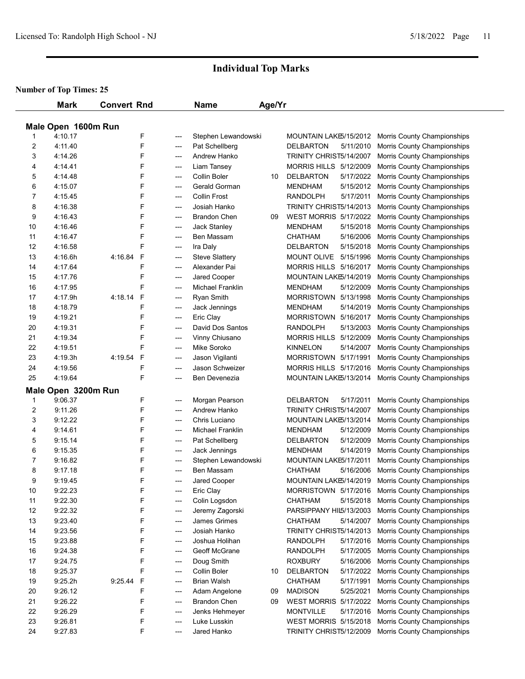|          | <b>Mark</b>         | <b>Convert Rnd</b>     |                        | <b>Name</b>                        | Age/Yr |                               |                             |
|----------|---------------------|------------------------|------------------------|------------------------------------|--------|-------------------------------|-----------------------------|
|          | Male Open 1600m Run |                        |                        |                                    |        |                               |                             |
| 1        | 4:10.17             | F                      | ---                    | Stephen Lewandowski                |        | MOUNTAIN LAKE5/15/2012        | Morris County Championships |
| 2        | 4:11.40             | F                      | ---                    | Pat Schellberg                     |        | <b>DELBARTON</b><br>5/11/2010 | Morris County Championships |
| 3        | 4:14.26             | F                      | ---                    | Andrew Hanko                       |        | TRINITY CHRIST5/14/2007       | Morris County Championships |
| 4        | 4:14.41             | F                      | ---                    | Liam Tansey                        |        | MORRIS HILLS 5/12/2009        | Morris County Championships |
| 5        | 4:14.48             | F                      | ---                    | Collin Boler                       | 10     | <b>DELBARTON</b><br>5/17/2022 | Morris County Championships |
| 6        | 4:15.07             | F                      | ---                    | Gerald Gorman                      |        | 5/15/2012<br><b>MENDHAM</b>   | Morris County Championships |
| 7        | 4:15.45             | F                      | $---$                  | <b>Collin Frost</b>                |        | 5/17/2011<br><b>RANDOLPH</b>  | Morris County Championships |
| 8        | 4:16.38             | F                      | $---$                  | Josiah Hanko                       |        | TRINITY CHRIST5/14/2013       | Morris County Championships |
| 9        | 4:16.43             | F                      | ---                    | <b>Brandon Chen</b>                | 09     | <b>WEST MORRIS 5/17/2022</b>  | Morris County Championships |
| 10       | 4:16.46             | F                      | $\qquad \qquad \cdots$ | Jack Stanley                       |        | <b>MENDHAM</b><br>5/15/2018   | Morris County Championships |
| 11       | 4:16.47             | F                      | $\qquad \qquad \cdots$ | Ben Massam                         |        | 5/16/2006<br>CHATHAM          | Morris County Championships |
| 12       | 4:16.58             | F                      | ---                    | Ira Daly                           |        | 5/15/2018<br>DELBARTON        | Morris County Championships |
| 13       | 4:16.6h             | 4:16.84<br>F           | ---                    | <b>Steve Slattery</b>              |        | MOUNT OLIVE<br>5/15/1996      | Morris County Championships |
| 14       | 4:17.64             | F                      | ---                    | Alexander Pai                      |        | MORRIS HILLS 5/16/2017        | Morris County Championships |
| 15       | 4:17.76             | F                      | ---                    | Jared Cooper                       |        | MOUNTAIN LAKE5/14/2019        | Morris County Championships |
| 16       | 4:17.95             | F                      | ---                    | <b>Michael Franklin</b>            |        | <b>MENDHAM</b><br>5/12/2009   | Morris County Championships |
| 17       | 4:17.9h             | 4:18.14<br>F           | ---                    | Ryan Smith                         |        | MORRISTOWN 5/13/1998          | Morris County Championships |
| 18       | 4:18.79             | F                      | ---                    | Jack Jennings                      |        | 5/14/2019<br><b>MENDHAM</b>   | Morris County Championships |
| 19       | 4:19.21             | F                      | ---                    | Eric Clay                          |        | MORRISTOWN 5/16/2017          | Morris County Championships |
| 20       | 4:19.31             | F                      |                        | David Dos Santos                   |        | 5/13/2003<br>RANDOLPH         | Morris County Championships |
| 21       | 4:19.34             | F                      | ---                    | Vinny Chiusano                     |        | MORRIS HILLS 5/12/2009        | Morris County Championships |
| 22       | 4:19.51             | F                      | $\qquad \qquad \cdots$ | <b>Mike Soroko</b>                 |        | <b>KINNELON</b><br>5/14/2007  | Morris County Championships |
| 23       | 4:19.3h             | F<br>4:19.54           | ---                    |                                    |        | MORRISTOWN 5/17/1991          |                             |
|          | 4:19.56             | F                      | ---                    | Jason Vigilanti<br>Jason Schweizer |        | MORRIS HILLS 5/17/2016        | Morris County Championships |
| 24<br>25 | 4:19.64             | F                      | $\qquad \qquad \cdots$ | Ben Devenezia                      |        |                               | Morris County Championships |
|          |                     |                        | ---                    |                                    |        | MOUNTAIN LAKE5/13/2014        | Morris County Championships |
|          | Male Open 3200m Run |                        |                        |                                    |        |                               |                             |
| 1        | 9:06.37             | F                      | ---                    | Morgan Pearson                     |        | <b>DELBARTON</b><br>5/17/2011 | Morris County Championships |
| 2        | 9:11.26             | F                      | ---                    | Andrew Hanko                       |        | TRINITY CHRIST5/14/2007       | Morris County Championships |
| 3        | 9:12.22             | F                      | ---                    | Chris Luciano                      |        | MOUNTAIN LAKE5/13/2014        | Morris County Championships |
| 4        | 9:14.61             | F                      | $---$                  | <b>Michael Franklin</b>            |        | <b>MENDHAM</b><br>5/12/2009   | Morris County Championships |
| 5        | 9:15.14             | F                      | ---                    | Pat Schellberg                     |        | <b>DELBARTON</b><br>5/12/2009 | Morris County Championships |
| 6        | 9:15.35             | F                      | ---                    | Jack Jennings                      |        | 5/14/2019<br><b>MENDHAM</b>   | Morris County Championships |
| 7        | 9:16.82             | F                      | ---                    | Stephen Lewandowski                |        | MOUNTAIN LAKE5/17/2011        | Morris County Championships |
| 8        | 9:17.18             | F                      | $\overline{a}$         | Ben Massam                         |        | CHATHAM<br>5/16/2006          | Morris County Championships |
| 9        | 9:19.45             | F                      | $\overline{a}$         | <b>Jared Cooper</b>                |        | MOUNTAIN LAKE5/14/2019        | Morris County Championships |
| 10       | 9:22.23             | F                      | ---                    | Eric Clay                          |        | MORRISTOWN 5/17/2016          | Morris County Championships |
| 11       | 9:22.30             | F                      | ---                    | Colin Logsdon                      |        | <b>CHATHAM</b><br>5/15/2018   | Morris County Championships |
| 12       | 9:22.32             | F                      | ---                    | Jeremy Zagorski                    |        | PARSIPPANY HIL5/13/2003       | Morris County Championships |
| 13       | 9:23.40             | F                      | ---                    | James Grimes                       |        | CHATHAM<br>5/14/2007          | Morris County Championships |
| 14       | 9:23.56             | F                      | ---                    | Josiah Hanko                       |        | TRINITY CHRIST5/14/2013       | Morris County Championships |
| 15       | 9:23.88             | F                      | ---                    | Joshua Holihan                     |        | <b>RANDOLPH</b><br>5/17/2016  | Morris County Championships |
| 16       | 9:24.38             | F                      | ---                    | Geoff McGrane                      |        | <b>RANDOLPH</b><br>5/17/2005  | Morris County Championships |
| 17       | 9:24.75             | F                      | ---                    | Doug Smith                         |        | <b>ROXBURY</b><br>5/16/2006   | Morris County Championships |
| 18       | 9:25.37             | F                      | ---                    | Collin Boler                       | 10     | <b>DELBARTON</b><br>5/17/2022 | Morris County Championships |
| 19       | 9:25.2h             | $\mathsf F$<br>9:25.44 | ---                    | <b>Brian Walsh</b>                 |        | CHATHAM<br>5/17/1991          | Morris County Championships |
| 20       | 9:26.12             | F                      | ---                    | Adam Angelone                      | 09     | <b>MADISON</b><br>5/25/2021   | Morris County Championships |
| 21       | 9:26.22             | F                      | ---                    | <b>Brandon Chen</b>                | 09     | WEST MORRIS 5/17/2022         | Morris County Championships |
| 22       | 9:26.29             | F                      | ---                    | Jenks Hehmeyer                     |        | <b>MONTVILLE</b><br>5/17/2016 | Morris County Championships |
| 23       | 9:26.81             | F                      | ---                    | Luke Lusskin                       |        | <b>WEST MORRIS 5/15/2018</b>  | Morris County Championships |
| 24       | 9:27.83             | F                      | ---                    | Jared Hanko                        |        | TRINITY CHRIST5/12/2009       | Morris County Championships |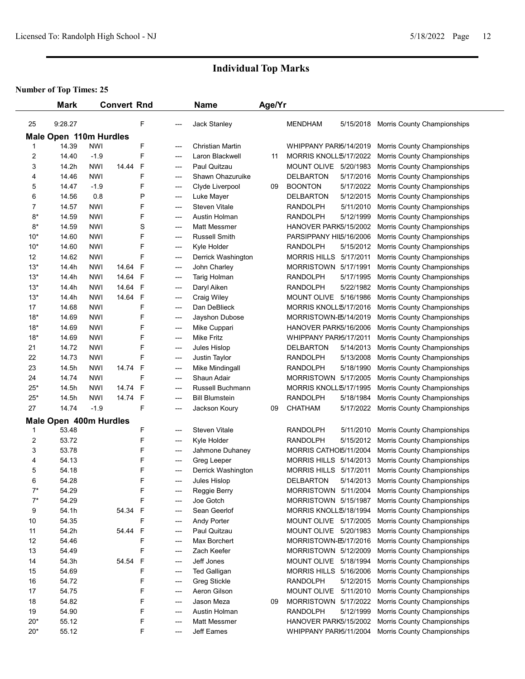|                         | <b>Mark</b>            |            | <b>Convert Rnd</b> |              |     | <b>Name</b>             | Age/Yr |                         |           |                             |
|-------------------------|------------------------|------------|--------------------|--------------|-----|-------------------------|--------|-------------------------|-----------|-----------------------------|
| 25                      | 9:28.27                |            |                    | F            | --- | Jack Stanley            |        | <b>MENDHAM</b>          | 5/15/2018 | Morris County Championships |
|                         | Male Open 110m Hurdles |            |                    |              |     |                         |        |                         |           |                             |
| 1                       | 14.39                  | <b>NWI</b> |                    | F            | --- | <b>Christian Martin</b> |        | WHIPPANY PARI5/14/2019  |           | Morris County Championships |
| $\overline{2}$          | 14.40                  | $-1.9$     |                    | F            | --- | Laron Blackwell         | 11     | MORRIS KNOLL\$/17/2022  |           | Morris County Championships |
| 3                       | 14.2h                  | <b>NWI</b> | 14.44              | $\mathsf{F}$ | --- | Paul Quitzau            |        | MOUNT OLIVE 5/20/1983   |           | Morris County Championships |
| 4                       | 14.46                  | <b>NWI</b> |                    | F            | --- | Shawn Ohazuruike        |        | <b>DELBARTON</b>        | 5/17/2016 | Morris County Championships |
| 5                       | 14.47                  | $-1.9$     |                    | F            | --- | Clyde Liverpool         | 09     | <b>BOONTON</b>          | 5/17/2022 | Morris County Championships |
| 6                       | 14.56                  | 0.8        |                    | P            | --- | Luke Mayer              |        | <b>DELBARTON</b>        | 5/12/2015 | Morris County Championships |
| 7                       | 14.57                  | <b>NWI</b> |                    | F            | --- | <b>Steven Vitale</b>    |        | <b>RANDOLPH</b>         | 5/11/2010 | Morris County Championships |
| $8*$                    | 14.59                  | <b>NWI</b> |                    | F            | --- | Austin Holman           |        | <b>RANDOLPH</b>         | 5/12/1999 | Morris County Championships |
| $8*$                    | 14.59                  | <b>NWI</b> |                    | S            | --- | Matt Messmer            |        | HANOVER PARK5/15/2002   |           | Morris County Championships |
| $10*$                   | 14.60                  | <b>NWI</b> |                    | F            | --- | <b>Russell Smith</b>    |        | PARSIPPANY HIL5/16/2006 |           | Morris County Championships |
| $10*$                   | 14.60                  | <b>NWI</b> |                    | F            | --- | Kyle Holder             |        | <b>RANDOLPH</b>         | 5/15/2012 | Morris County Championships |
| 12                      | 14.62                  | <b>NWI</b> |                    | F            | --- | Derrick Washington      |        | MORRIS HILLS 5/17/2011  |           | Morris County Championships |
| $13*$                   | 14.4h                  | <b>NWI</b> | 14.64              | F            | --- | John Charley            |        | MORRISTOWN 5/17/1991    |           | Morris County Championships |
| $13*$                   | 14.4h                  | <b>NWI</b> | 14.64              | $\mathsf{F}$ | --- | Tarig Holman            |        | <b>RANDOLPH</b>         | 5/17/1995 | Morris County Championships |
| $13*$                   | 14.4h                  | <b>NWI</b> | 14.64              | $\mathsf{F}$ | --- | Daryl Aiken             |        | <b>RANDOLPH</b>         | 5/22/1982 | Morris County Championships |
| $13*$                   | 14.4h                  | <b>NWI</b> | 14.64              | $\mathsf{F}$ | --- | Craig Wiley             |        | MOUNT OLIVE 5/16/1986   |           | Morris County Championships |
| 17                      | 14.68                  | <b>NWI</b> |                    | F            | --- | Dan DeBlieck            |        | MORRIS KNOLL\$/17/2016  |           | Morris County Championships |
| $18*$                   | 14.69                  | <b>NWI</b> |                    | F            | --- | Jayshon Dubose          |        | MORRISTOWN-E5/14/2019   |           | Morris County Championships |
| $18*$                   | 14.69                  | <b>NWI</b> |                    | F            | --- | Mike Cuppari            |        | HANOVER PARK5/16/2006   |           | Morris County Championships |
| $18*$                   | 14.69                  | <b>NWI</b> |                    | F            | --- | <b>Mike Fritz</b>       |        | WHIPPANY PARI5/17/2011  |           | Morris County Championships |
| 21                      | 14.72                  | <b>NWI</b> |                    | F            | --- | Jules Hislop            |        | <b>DELBARTON</b>        | 5/14/2013 | Morris County Championships |
| 22                      | 14.73                  | <b>NWI</b> |                    | F            | --- | Justin Taylor           |        | <b>RANDOLPH</b>         | 5/13/2008 | Morris County Championships |
| 23                      | 14.5h                  | <b>NWI</b> | 14.74              | $\mathsf{F}$ | --- | Mike Mindingall         |        | <b>RANDOLPH</b>         | 5/18/1990 | Morris County Championships |
| 24                      | 14.74                  | <b>NWI</b> |                    | F            | --- | Shaun Adair             |        | MORRISTOWN 5/17/2005    |           | Morris County Championships |
| $25*$                   | 14.5h                  | <b>NWI</b> | 14.74              | $\mathsf{F}$ | --- | Russell Buchmann        |        | MORRIS KNOLL 5/17/1995  |           | Morris County Championships |
| $25*$                   | 14.5h                  | <b>NWI</b> | 14.74 F            |              | --- | <b>Bill Blumstein</b>   |        | <b>RANDOLPH</b>         | 5/18/1984 | Morris County Championships |
| 27                      | 14.74                  | $-1.9$     |                    | F            | --- | Jackson Koury           | 09     | <b>CHATHAM</b>          | 5/17/2022 | Morris County Championships |
|                         | Male Open 400m Hurdles |            |                    |              |     |                         |        |                         |           |                             |
| 1                       | 53.48                  |            |                    | F            | --- | <b>Steven Vitale</b>    |        | <b>RANDOLPH</b>         | 5/11/2010 | Morris County Championships |
| $\overline{\mathbf{c}}$ | 53.72                  |            |                    | F            | --- | Kyle Holder             |        | <b>RANDOLPH</b>         | 5/15/2012 | Morris County Championships |
| 3                       | 53.78                  |            |                    | F            | --- | Jahmone Duhaney         |        | MORRIS CATHOI5/11/2004  |           | Morris County Championships |
| 4                       | 54.13                  |            |                    | F            | --- | Greg Leeper             |        | MORRIS HILLS 5/14/2013  |           | Morris County Championships |
| 5                       | 54.18                  |            |                    | F            | --- | Derrick Washington      |        | MORRIS HILLS 5/17/2011  |           | Morris County Championships |
| 6                       | 54.28                  |            |                    | F            | --- | Jules Hislop            |        | <b>DELBARTON</b>        | 5/14/2013 | Morris County Championships |
| $7^*$                   | 54.29                  |            |                    | F            | --- | Reggie Berry            |        | MORRISTOWN 5/11/2004    |           | Morris County Championships |
| $7^*$                   | 54.29                  |            |                    | F            | --- | Joe Gotch               |        | MORRISTOWN 5/15/1987    |           | Morris County Championships |
| 9                       | 54.1h                  |            | 54.34              | $\mathsf{F}$ | --- | Sean Geerlof            |        | MORRIS KNOLL\$/18/1994  |           | Morris County Championships |
| 10                      | 54.35                  |            |                    | F            | --- | <b>Andy Porter</b>      |        | MOUNT OLIVE 5/17/2005   |           | Morris County Championships |
| 11                      | 54.2h                  |            | 54.44              | $\mathsf{F}$ | --- | Paul Quitzau            |        | MOUNT OLIVE 5/20/1983   |           | Morris County Championships |
| 12                      | 54.46                  |            |                    | F            | --- | Max Borchert            |        | MORRISTOWN-E5/17/2016   |           | Morris County Championships |
| 13                      | 54.49                  |            |                    | F            | --- | Zach Keefer             |        | MORRISTOWN 5/12/2009    |           | Morris County Championships |
| 14                      | 54.3h                  |            | 54.54              | F            | --- | Jeff Jones              |        | MOUNT OLIVE 5/18/1994   |           | Morris County Championships |
| 15                      | 54.69                  |            |                    | F            | --- | <b>Ted Galligan</b>     |        | MORRIS HILLS 5/16/2006  |           | Morris County Championships |
| 16                      | 54.72                  |            |                    | F            | --- | Greg Stickle            |        | <b>RANDOLPH</b>         | 5/12/2015 | Morris County Championships |
| 17                      | 54.75                  |            |                    | F            | --- | Aeron Gilson            |        | MOUNT OLIVE             | 5/11/2010 | Morris County Championships |
| 18                      | 54.82                  |            |                    | F            | --- | Jason Meza              | 09     | MORRISTOWN 5/17/2022    |           | Morris County Championships |
| 19                      | 54.90                  |            |                    | F            | --- | Austin Holman           |        | <b>RANDOLPH</b>         | 5/12/1999 | Morris County Championships |
| $20*$                   | 55.12                  |            |                    | F            | --- | Matt Messmer            |        | HANOVER PARK5/15/2002   |           | Morris County Championships |
| $20*$                   | 55.12                  |            |                    | F            | --- | Jeff Eames              |        | WHIPPANY PARI5/11/2004  |           | Morris County Championships |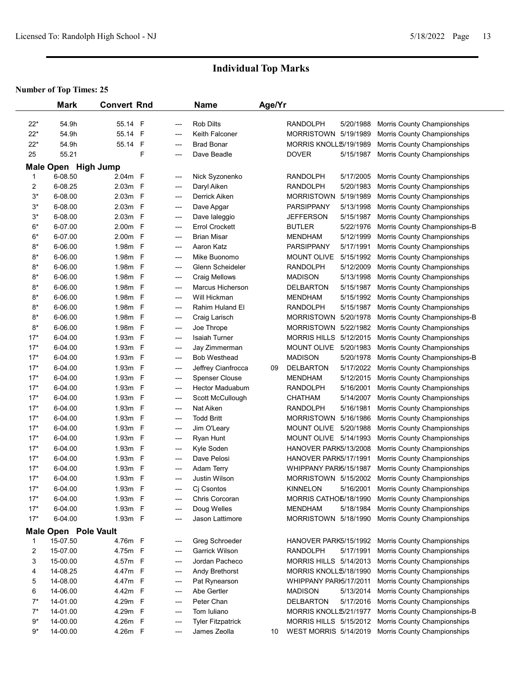|       | <b>Mark</b>                    | <b>Convert Rnd</b>    |                          | <b>Name</b>              | Age/Yr |                         |           |                                                   |
|-------|--------------------------------|-----------------------|--------------------------|--------------------------|--------|-------------------------|-----------|---------------------------------------------------|
| $22*$ | 54.9h                          | 55.14 F               | ---                      | <b>Rob Dilts</b>         |        | RANDOLPH                | 5/20/1988 | Morris County Championships                       |
| $22*$ | 54.9h                          | 55.14 F               | ---                      | Keith Falconer           |        | MORRISTOWN 5/19/1989    |           | Morris County Championships                       |
| $22*$ | 54.9h                          | $\mathsf F$<br>55.14  | ---                      | <b>Brad Bonar</b>        |        | MORRIS KNOLL \$/19/1989 |           | Morris County Championships                       |
| 25    | 55.21                          | F                     | ---                      | Dave Beadle              |        | <b>DOVER</b>            | 5/15/1987 | Morris County Championships                       |
|       |                                |                       |                          |                          |        |                         |           |                                                   |
| 1     | Male Open High Jump<br>6-08.50 | 2.04m F               |                          | Nick Syzonenko           |        | <b>RANDOLPH</b>         | 5/17/2005 | Morris County Championships                       |
| 2     | 6-08.25                        | 2.03m F               | ---                      | Daryl Aiken              |        | <b>RANDOLPH</b>         | 5/20/1983 | Morris County Championships                       |
| $3^*$ | 6-08.00                        | 2.03m F               | ---<br>---               | Derrick Aiken            |        | <b>MORRISTOWN</b>       | 5/19/1989 | Morris County Championships                       |
| $3*$  | 6-08.00                        | 2.03m F               | ---                      | Dave Apgar               |        | <b>PARSIPPANY</b>       | 5/13/1998 | Morris County Championships                       |
| $3*$  | 6-08.00                        | 2.03m F               | ---                      | Dave laleggio            |        | <b>JEFFERSON</b>        | 5/15/1987 | Morris County Championships                       |
| $6*$  | 6-07.00                        | 2.00m F               | ---                      | <b>Errol Crockett</b>    |        | <b>BUTLER</b>           | 5/22/1976 | Morris County Championships-B                     |
| $6*$  | 6-07.00                        | 2.00m F               | ---                      | <b>Brian Misar</b>       |        | <b>MENDHAM</b>          | 5/12/1999 | Morris County Championships                       |
| $8*$  | 6-06.00                        | 1.98m F               | ---                      | Aaron Katz               |        | PARSIPPANY              | 5/17/1991 | Morris County Championships                       |
| $8*$  | 6-06.00                        | $\mathsf F$<br>1.98m  | ---                      | Mike Buonomo             |        | MOUNT OLIVE             | 5/15/1992 | Morris County Championships                       |
| $8*$  | 6-06.00                        | $\mathsf F$<br>1.98m  | ---                      | Glenn Scheideler         |        | <b>RANDOLPH</b>         | 5/12/2009 | Morris County Championships                       |
| $8*$  | 6-06.00                        | $\mathsf{F}$<br>1.98m | ---                      | <b>Craig Mellows</b>     |        | <b>MADISON</b>          | 5/13/1998 | Morris County Championships                       |
| $8*$  | 6-06.00                        | $\mathsf F$<br>1.98m  | ---                      | <b>Marcus Hicherson</b>  |        | <b>DELBARTON</b>        | 5/15/1987 | Morris County Championships                       |
| $8*$  | 6-06.00                        | $\mathsf{F}$<br>1.98m | ---                      | Will Hickman             |        | <b>MENDHAM</b>          | 5/15/1992 | Morris County Championships                       |
| $8*$  | 6-06.00                        | $\mathsf{F}$<br>1.98m | ---                      | Rahim Huland El          |        | <b>RANDOLPH</b>         | 5/15/1987 | Morris County Championships                       |
| $8*$  | 6-06.00                        | $\mathsf F$<br>1.98m  | ---                      | Craig Larisch            |        | MORRISTOWN 5/20/1978    |           | Morris County Championships-B                     |
| $8*$  | 6-06.00                        | $\mathsf{F}$<br>1.98m | ---                      | Joe Thrope               |        | MORRISTOWN 5/22/1982    |           | Morris County Championships                       |
| $17*$ | 6-04.00                        | 1.93m F               | $\hspace{0.05cm} \ldots$ | <b>Isaiah Turner</b>     |        | MORRIS HILLS 5/12/2015  |           | Morris County Championships                       |
| $17*$ | 6-04.00                        | F<br>1.93m            | ---                      | Jay Zimmerman            |        | <b>MOUNT OLIVE</b>      | 5/20/1983 | Morris County Championships                       |
| $17*$ | 6-04.00                        | F<br>1.93m            | ---                      | <b>Bob Westhead</b>      |        | <b>MADISON</b>          | 5/20/1978 | Morris County Championships-B                     |
| $17*$ | 6-04.00                        | - F<br>1.93m          | ---                      | Jeffrey Cianfrocca       | 09     | <b>DELBARTON</b>        | 5/17/2022 | Morris County Championships                       |
| $17*$ | 6-04.00                        | $\mathsf F$<br>1.93m  | ---                      | <b>Spenser Clouse</b>    |        | <b>MENDHAM</b>          | 5/12/2015 | Morris County Championships                       |
| $17*$ | 6-04.00                        | $\mathsf F$<br>1.93m  | ---                      | <b>Hector Maduabum</b>   |        | <b>RANDOLPH</b>         | 5/16/2001 | Morris County Championships                       |
| $17*$ | 6-04.00                        | $\mathsf F$<br>1.93m  | ---                      | Scott McCullough         |        | <b>CHATHAM</b>          | 5/14/2007 | Morris County Championships                       |
| $17*$ | 6-04.00                        | $\mathsf F$<br>1.93m  | ---                      | Nat Aiken                |        | <b>RANDOLPH</b>         | 5/16/1981 | Morris County Championships                       |
| $17*$ | 6-04.00                        | $\mathsf{F}$<br>1.93m | ---                      | <b>Todd Britt</b>        |        | MORRISTOWN 5/16/1986    |           | Morris County Championships                       |
| $17*$ | 6-04.00                        | $\mathsf{F}$<br>1.93m | ---                      | Jim O'Leary              |        | MOUNT OLIVE 5/20/1988   |           | Morris County Championships                       |
| $17*$ | 6-04.00                        | - F<br>1.93m          | ---                      | Ryan Hunt                |        | MOUNT OLIVE 5/14/1993   |           | Morris County Championships                       |
| $17*$ | 6-04.00                        | $\mathsf{F}$<br>1.93m | ---                      | Kyle Soden               |        | HANOVER PARK5/13/2008   |           | Morris County Championships                       |
| $17*$ | 6-04.00                        | $\mathsf{F}$<br>1.93m | ---                      | Dave Pelosi              |        | HANOVER PARK5/17/1991   |           | Morris County Championships                       |
| $17*$ | 6-04.00                        | $\mathsf{F}$<br>1.93m | ---                      | <b>Adam Terry</b>        |        | WHIPPANY PARI5/15/1987  |           | Morris County Championships                       |
| $17*$ | 6-04.00                        | $\mathsf F$<br>1.93m  | ---                      | Justin Wilson            |        | MORRISTOWN 5/15/2002    |           | Morris County Championships                       |
| $17*$ | 6-04.00                        | 1.93m F               | ---                      | Ci Csontos               |        | <b>KINNELON</b>         | 5/16/2001 | Morris County Championships                       |
| $17*$ | 6-04.00                        | 1.93m F               | ---                      | Chris Corcoran           |        | MORRIS CATHO5/18/1990   |           | Morris County Championships                       |
| $17*$ | 6-04.00                        | 1.93m F               | ---                      | Doug Welles              |        | <b>MENDHAM</b>          | 5/18/1984 | Morris County Championships                       |
| $17*$ | 6-04.00                        | 1.93m F               | ---                      | Jason Lattimore          |        | MORRISTOWN 5/18/1990    |           | Morris County Championships                       |
|       | <b>Male Open Pole Vault</b>    |                       |                          |                          |        |                         |           |                                                   |
| 1     | 15-07.50                       | 4.76m F               | ---                      | Greg Schroeder           |        |                         |           | HANOVER PARK5/15/1992 Morris County Championships |
| 2     | 15-07.00                       | 4.75m F               | ---                      | Garrick Wilson           |        | <b>RANDOLPH</b>         | 5/17/1991 | Morris County Championships                       |
| 3     | 15-00.00                       | 4.57m F               | ---                      | Jordan Pacheco           |        | MORRIS HILLS 5/14/2013  |           | Morris County Championships                       |
| 4     | 14-08.25                       | 4.47m F               | ---                      | Andy Brethorst           |        | MORRIS KNOLL \$/18/1990 |           | Morris County Championships                       |
| 5     | 14-08.00                       | 4.47m F               | ---                      | Pat Rynearson            |        | WHIPPANY PARI5/17/2011  |           | Morris County Championships                       |
| 6     | 14-06.00                       | - F<br>4.42m          | ---                      | Abe Gertler              |        | <b>MADISON</b>          | 5/13/2014 | Morris County Championships                       |
| $7^*$ | 14-01.00                       | 4.29m F               | ---                      | Peter Chan               |        | <b>DELBARTON</b>        | 5/17/2016 | Morris County Championships                       |
| $7^*$ | 14-01.00                       | 4.29m<br>F            | ---                      | Tom Iuliano              |        | MORRIS KNOLL 5/21/1977  |           | Morris County Championships-B                     |
| $9*$  | 14-00.00                       | $\mathsf F$<br>4.26m  | ---                      | <b>Tyler Fitzpatrick</b> |        | MORRIS HILLS 5/15/2012  |           | Morris County Championships                       |
| $9*$  | 14-00.00                       | 4.26m F               | ---                      | James Zeolla             | 10     | WEST MORRIS 5/14/2019   |           | Morris County Championships                       |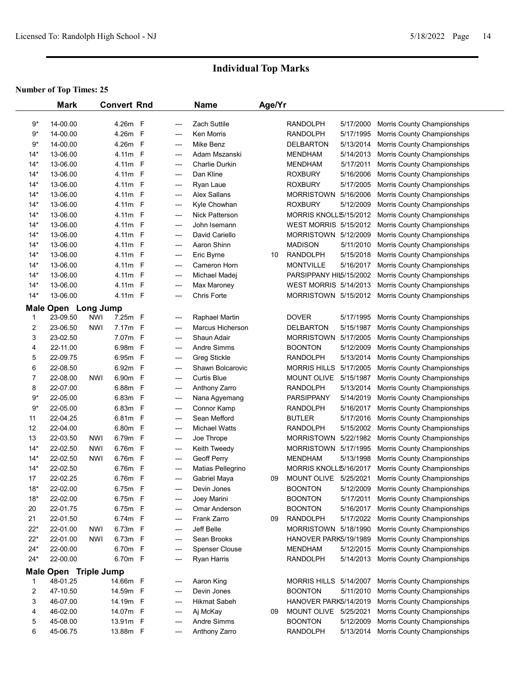|       | <b>Mark</b>           |            | <b>Convert Rnd</b> |              |                                          | <b>Name</b>           | Age/Yr |                              |           |                             |  |
|-------|-----------------------|------------|--------------------|--------------|------------------------------------------|-----------------------|--------|------------------------------|-----------|-----------------------------|--|
| 9*    | 14-00.00              |            | 4.26m F            |              | ---                                      | <b>Zach Suttile</b>   |        | <b>RANDOLPH</b>              | 5/17/2000 | Morris County Championships |  |
| $9*$  | 14-00.00              |            | 4.26m F            |              | ---                                      | Ken Morris            |        | <b>RANDOLPH</b>              | 5/17/1995 | Morris County Championships |  |
| $9*$  | 14-00.00              |            | 4.26m F            |              | $\hspace{0.05cm} \ldots$                 | Mike Benz             |        | <b>DELBARTON</b>             | 5/13/2014 | Morris County Championships |  |
| $14*$ | 13-06.00              |            | 4.11m F            |              | ---                                      | Adam Mszanski         |        | <b>MENDHAM</b>               | 5/14/2013 | Morris County Championships |  |
| 14*   | 13-06.00              |            | 4.11m F            |              | ---                                      | <b>Charlie Durkin</b> |        | <b>MENDHAM</b>               | 5/17/2011 | Morris County Championships |  |
| 14*   | 13-06.00              |            | 4.11m F            |              | ---                                      | Dan Kline             |        | <b>ROXBURY</b>               | 5/16/2006 | Morris County Championships |  |
| $14*$ | 13-06.00              |            | 4.11m F            |              | ---                                      | Ryan Laue             |        | <b>ROXBURY</b>               | 5/17/2005 | Morris County Championships |  |
| $14*$ | 13-06.00              |            | 4.11m F            |              | ---                                      | <b>Alex Sallans</b>   |        | <b>MORRISTOWN</b>            | 5/16/2006 | Morris County Championships |  |
| $14*$ | 13-06.00              |            | 4.11m F            |              | ---                                      | Kyle Chowhan          |        | <b>ROXBURY</b>               | 5/12/2009 | Morris County Championships |  |
| $14*$ | 13-06.00              |            | 4.11m F            |              | ---                                      | Nick Patterson        |        | MORRIS KNOLL \$/15/2012      |           | Morris County Championships |  |
| 14*   | 13-06.00              |            | 4.11m F            |              | ---                                      | John Isemann          |        | <b>WEST MORRIS 5/15/2012</b> |           | Morris County Championships |  |
| $14*$ | 13-06.00              |            | 4.11m F            |              | ---                                      | David Cariello        |        | MORRISTOWN 5/12/2009         |           | Morris County Championships |  |
| $14*$ | 13-06.00              |            | 4.11m F            |              | ---                                      | Aaron Shinn           |        | <b>MADISON</b>               | 5/11/2010 | Morris County Championships |  |
| $14*$ | 13-06.00              |            | 4.11m F            |              | ---                                      | Eric Byrne            | 10     | <b>RANDOLPH</b>              | 5/15/2018 | Morris County Championships |  |
| $14*$ | 13-06.00              |            | 4.11m F            |              | ---                                      | Cameron Horn          |        | <b>MONTVILLE</b>             | 5/16/2017 | Morris County Championships |  |
| $14*$ | 13-06.00              |            | 4.11m F            |              | ---                                      | Michael Madej         |        | PARSIPPANY HIL5/15/2002      |           | Morris County Championships |  |
| $14*$ | 13-06.00              |            | 4.11m F            |              | ---                                      | Max Maroney           |        | <b>WEST MORRIS 5/14/2013</b> |           | Morris County Championships |  |
| $14*$ | 13-06.00              |            | 4.11m F            |              | ---                                      | <b>Chris Forte</b>    |        | MORRISTOWN 5/15/2012         |           | Morris County Championships |  |
|       | Male Open Long Jump   |            |                    |              |                                          |                       |        |                              |           |                             |  |
| 1     | 23-09.50              | <b>NWI</b> | 7.25m F            |              | ---                                      | Raphael Martin        |        | <b>DOVER</b>                 | 5/17/1995 | Morris County Championships |  |
| 2     | 23-06.50              | <b>NWI</b> | 7.17m F            |              | ---                                      | Marcus Hicherson      |        | <b>DELBARTON</b>             | 5/15/1987 | Morris County Championships |  |
| 3     | 23-02.50              |            | 7.07m F            |              | ---                                      | Shaun Adair           |        | <b>MORRISTOWN</b>            | 5/17/2005 | Morris County Championships |  |
| 4     | 22-11.00              |            | 6.98m F            |              | $\hspace{0.05cm} \ldots \hspace{0.05cm}$ | <b>Andre Simms</b>    |        | <b>BOONTON</b>               | 5/12/2009 | Morris County Championships |  |
| 5     | 22-09.75              |            | 6.95m F            |              | $---$                                    | <b>Greg Stickle</b>   |        | <b>RANDOLPH</b>              | 5/13/2014 | Morris County Championships |  |
| 6     | 22-08.50              |            | 6.92m F            |              | $\hspace{0.05cm} \ldots$                 | Shawn Bolcarovic      |        | <b>MORRIS HILLS</b>          | 5/17/2005 | Morris County Championships |  |
| 7     | 22-08.00              | NWI        | 6.90m F            |              | ---                                      | <b>Curtis Blue</b>    |        | MOUNT OLIVE                  | 5/15/1987 | Morris County Championships |  |
| 8     | 22-07.00              |            | 6.88m F            |              | ---                                      | Anthony Zarro         |        | <b>RANDOLPH</b>              | 5/13/2014 | Morris County Championships |  |
| $9*$  | 22-05.00              |            | 6.83m F            |              | ---                                      | Nana Agyemang         |        | <b>PARSIPPANY</b>            | 5/14/2019 | Morris County Championships |  |
| $9*$  | 22-05.00              |            | 6.83m F            |              | ---                                      | Connor Kamp           |        | RANDOLPH                     | 5/16/2017 | Morris County Championships |  |
| 11    | 22-04.25              |            | 6.81m F            |              | $\qquad \qquad \cdots$                   | Sean Mefford          |        | <b>BUTLER</b>                | 5/17/2016 | Morris County Championships |  |
| 12    | 22-04.00              |            | 6.80m F            |              | $\hspace{0.05cm} \ldots$                 | <b>Michael Watts</b>  |        | RANDOLPH                     | 5/15/2002 | Morris County Championships |  |
| 13    | 22-03.50              | NWI        | 6.79m F            |              | ---                                      | Joe Thrope            |        | <b>MORRISTOWN</b>            | 5/22/1982 | Morris County Championships |  |
| $14*$ | 22-02.50              | <b>NWI</b> | 6.76m F            |              | ---                                      | Keith Tweedy          |        | MORRISTOWN 5/17/1995         |           | Morris County Championships |  |
| $14*$ | 22-02.50              | NWI        | 6.76m              | $-F$         | ---                                      | Geoff Perry           |        | <b>MENDHAM</b>               | 5/13/1998 | Morris County Championships |  |
| $14*$ | 22-02.50              |            | 6.76m              | $\mathsf{F}$ | $\hspace{0.05cm} \ldots \hspace{0.05cm}$ | Matias Pellegrino     |        | MORRIS KNOLL \$/16/2017      |           | Morris County Championships |  |
| 17    | 22-02.25              |            | 6.76m F            |              | $---$                                    | Gabriel Maya          | 09     | MOUNT OLIVE 5/25/2021        |           | Morris County Championships |  |
| $18*$ | 22-02.00              |            | 6.75m F            |              | ---                                      | Devin Jones           |        | <b>BOONTON</b>               | 5/12/2009 | Morris County Championships |  |
| $18*$ | 22-02.00              |            | 6.75m F            |              | ---                                      | Joey Marini           |        | <b>BOONTON</b>               | 5/17/2011 | Morris County Championships |  |
| 20    | 22-01.75              |            | 6.75m F            |              | $\qquad \qquad \cdots$                   | Omar Anderson         |        | <b>BOONTON</b>               | 5/16/2017 | Morris County Championships |  |
| 21    | 22-01.50              |            | 6.74m F            |              | ---                                      | Frank Zarro           | 09     | <b>RANDOLPH</b>              | 5/17/2022 | Morris County Championships |  |
| $22*$ | 22-01.00              | NWI        | 6.73m F            |              | ---                                      | Jeff Belle            |        | <b>MORRISTOWN</b>            | 5/18/1990 | Morris County Championships |  |
| $22*$ | 22-01.00              | <b>NWI</b> | 6.73m F            |              |                                          | Sean Brooks           |        | HANOVER PARK5/19/1989        |           | Morris County Championships |  |
| $24*$ | 22-00.00              |            | 6.70m F            |              | ---<br>---                               | <b>Spenser Clouse</b> |        | <b>MENDHAM</b>               | 5/12/2015 | Morris County Championships |  |
| $24*$ | 22-00.00              |            | 6.70m F            |              | ---                                      | Ryan Harris           |        | <b>RANDOLPH</b>              | 5/14/2013 | Morris County Championships |  |
|       |                       |            |                    |              |                                          |                       |        |                              |           |                             |  |
|       | Male Open Triple Jump |            |                    |              |                                          |                       |        |                              |           |                             |  |
| 1     | 48-01.25              |            | 14.66m F           |              | ---                                      | Aaron King            |        | MORRIS HILLS 5/14/2007       |           | Morris County Championships |  |
| 2     | 47-10.50              |            | 14.59m F           |              | $\qquad \qquad \cdots$                   | Devin Jones           |        | <b>BOONTON</b>               | 5/11/2010 | Morris County Championships |  |
| 3     | 46-07.00              |            | 14.19m F           |              | $\qquad \qquad \cdots$                   | <b>Hikmat Sabeh</b>   |        | HANOVER PARK5/14/2019        |           | Morris County Championships |  |
| 4     | 46-02.00              |            | 14.07m F           |              | $\qquad \qquad \cdots$                   | Aj McKay              | 09     | MOUNT OLIVE 5/25/2021        |           | Morris County Championships |  |
| 5     | 45-08.00              |            | 13.91m F           |              | ---                                      | Andre Simms           |        | <b>BOONTON</b>               | 5/12/2009 | Morris County Championships |  |
| 6     | 45-06.75              |            | 13.88m F           |              | ---                                      | Anthony Zarro         |        | <b>RANDOLPH</b>              | 5/13/2014 | Morris County Championships |  |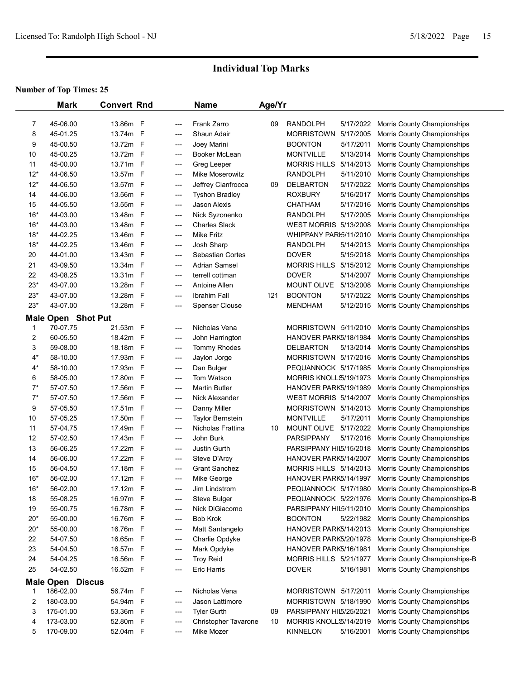|                         | <b>Mark</b>               | <b>Convert Rnd</b>   |              |            | <b>Name</b>                           | Age/Yr |                                           |                        |                                                            |
|-------------------------|---------------------------|----------------------|--------------|------------|---------------------------------------|--------|-------------------------------------------|------------------------|------------------------------------------------------------|
|                         |                           |                      |              |            |                                       |        |                                           |                        |                                                            |
| 7                       | 45-06.00                  | 13.86m F<br>13.74m F |              | ---        | <b>Frank Zarro</b>                    | 09     | <b>RANDOLPH</b>                           |                        | 5/17/2022 Morris County Championships                      |
| 8                       | 45-01.25                  |                      |              | ---        | Shaun Adair                           |        | MORRISTOWN 5/17/2005                      |                        | Morris County Championships                                |
| 9                       | 45-00.50                  | 13.72m F<br>13.72m F |              | ---        | Joey Marini                           |        | <b>BOONTON</b>                            | 5/17/2011<br>5/13/2014 | Morris County Championships                                |
| 10                      | 45-00.25                  |                      |              | ---        | Booker McLean                         |        | <b>MONTVILLE</b>                          |                        | Morris County Championships                                |
| 11<br>$12*$             | 45-00.00                  | 13.71m<br>13.57m F   | $\mathsf{F}$ | ---        | Greg Leeper                           |        | MORRIS HILLS 5/14/2013                    | 5/11/2010              | Morris County Championships                                |
| $12*$                   | 44-06.50<br>44-06.50      | 13.57m F             |              | ---        | Mike Moserowitz                       |        | <b>RANDOLPH</b>                           |                        | Morris County Championships                                |
| 14                      | 44-06.00                  | 13.56m F             |              | ---        | Jeffrey Cianfrocca                    | 09     | <b>DELBARTON</b><br><b>ROXBURY</b>        | 5/17/2022<br>5/16/2017 | Morris County Championships<br>Morris County Championships |
| 15                      | 44-05.50                  | 13.55m F             |              | ---        | <b>Tyshon Bradley</b><br>Jason Alexis |        | <b>CHATHAM</b>                            | 5/17/2016              | Morris County Championships                                |
| $16*$                   | 44-03.00                  | 13.48m F             |              | ---        | Nick Syzonenko                        |        | <b>RANDOLPH</b>                           | 5/17/2005              | Morris County Championships                                |
| $16*$                   | 44-03.00                  | 13.48m F             |              | ---<br>--- | <b>Charles Slack</b>                  |        | <b>WEST MORRIS 5/13/2008</b>              |                        | Morris County Championships                                |
| $18*$                   | 44-02.25                  | 13.46m F             |              | ---        | Mike Fritz                            |        | WHIPPANY PARI5/11/2010                    |                        | Morris County Championships                                |
| $18*$                   | 44-02.25                  | 13.46m F             |              | ---        | Josh Sharp                            |        | <b>RANDOLPH</b>                           | 5/14/2013              | Morris County Championships                                |
| 20                      | 44-01.00                  | 13.43m F             |              | ---        | Sebastian Cortes                      |        | <b>DOVER</b>                              | 5/15/2018              | Morris County Championships                                |
| 21                      | 43-09.50                  | 13.34m F             |              | ---        | <b>Adrian Samsel</b>                  |        | MORRIS HILLS 5/15/2012                    |                        | Morris County Championships                                |
| 22                      | 43-08.25                  | 13.31m F             |              | ---        | terrell cottman                       |        | <b>DOVER</b>                              | 5/14/2007              | Morris County Championships                                |
| $23*$                   | 43-07.00                  | 13.28m               | $\mathsf{F}$ | ---        | Antoine Allen                         |        | <b>MOUNT OLIVE</b>                        | 5/13/2008              | Morris County Championships                                |
| $23*$                   | 43-07.00                  | 13.28m               | $\mathsf{F}$ | ---        | <b>Ibrahim Fall</b>                   | 121    | <b>BOONTON</b>                            | 5/17/2022              | Morris County Championships                                |
| $23*$                   | 43-07.00                  | 13.28m F             |              | ---        | <b>Spenser Clouse</b>                 |        | <b>MENDHAM</b>                            | 5/12/2015              | Morris County Championships                                |
|                         |                           |                      |              |            |                                       |        |                                           |                        |                                                            |
|                         | <b>Male Open Shot Put</b> |                      |              |            |                                       |        |                                           |                        |                                                            |
| 1                       | 70-07.75<br>60-05.50      | 21.53m F             |              | ---        | Nicholas Vena                         |        | MORRISTOWN 5/11/2010                      |                        | Morris County Championships                                |
| 2                       | 59-08.00                  | 18.42m F<br>18.18m F |              | ---        | John Harrington                       |        | HANOVER PARK5/18/1984<br><b>DELBARTON</b> | 5/13/2014              | Morris County Championships                                |
| 3<br>$4*$               | 58-10.00                  | 17.93m F             |              | ---        | Tommy Rhodes<br>Jaylon Jorge          |        | MORRISTOWN 5/17/2016                      |                        | Morris County Championships<br>Morris County Championships |
| $4*$                    | 58-10.00                  | 17.93m               | - F          | ---        |                                       |        | PEQUANNOCK 5/17/1985                      |                        |                                                            |
| 6                       | 58-05.00                  | 17.80m               | $\mathsf{F}$ | ---<br>--- | Dan Bulger<br>Tom Watson              |        | MORRIS KNOLL \$/19/1973                   |                        | Morris County Championships<br>Morris County Championships |
| $7^*$                   | 57-07.50                  | 17.56m               | $\mathsf{F}$ | ---        | <b>Martin Butler</b>                  |        | HANOVER PARK5/19/1989                     |                        | Morris County Championships                                |
| $7^*$                   | 57-07.50                  | 17.56m               | F            | ---        | Nick Alexander                        |        | WEST MORRIS 5/14/2007                     |                        | Morris County Championships                                |
| 9                       | 57-05.50                  | 17.51m               | F            | ---        | Danny Miller                          |        | MORRISTOWN 5/14/2013                      |                        | Morris County Championships                                |
| 10                      | 57-05.25                  | 17.50m               | $\mathsf{F}$ | ---        | Taylor Bernstein                      |        | <b>MONTVILLE</b>                          | 5/17/2011              | Morris County Championships                                |
| 11                      | 57-04.75                  | 17.49m               | F            | ---        | Nicholas Frattina                     | 10     | MOUNT OLIVE 5/17/2022                     |                        | Morris County Championships                                |
| 12                      | 57-02.50                  | 17.43m               | F            | ---        | John Burk                             |        | <b>PARSIPPANY</b>                         | 5/17/2016              | Morris County Championships                                |
| 13                      | 56-06.25                  | 17.22m               | $\mathsf{F}$ | ---        | Justin Gurth                          |        | PARSIPPANY HIL5/15/2018                   |                        | Morris County Championships                                |
| 14                      | 56-06.00                  | 17.22m               | F            | ---        | Steve D'Arcy                          |        | HANOVER PARK5/14/2007                     |                        | Morris County Championships                                |
| 15                      | 56-04.50                  | 17.18m               | F            | ---        | <b>Grant Sanchez</b>                  |        | <b>MORRIS HILLS 5/14/2013</b>             |                        | Morris County Championships                                |
| $16*$                   | 56-02.00                  | 17.12m F             |              | ---        | Mike George                           |        | HANOVER PARK5/14/1997                     |                        | Morris County Championships                                |
| $16*$                   | 56-02.00                  | 17.12m F             |              |            | Jim Lindstrom                         |        | PEQUANNOCK 5/17/1980                      |                        | Morris County Championships-B                              |
| 18                      | 55-08.25                  | 16.97m F             |              | ---        | Steve Bulger                          |        | PEQUANNOCK 5/22/1976                      |                        | Morris County Championships-B                              |
| 19                      | 55-00.75                  | 16.78m F             |              | ---        | Nick DiGiacomo                        |        | PARSIPPANY HIL5/11/2010                   |                        | Morris County Championships                                |
| $20*$                   | 55-00.00                  | 16.76m F             |              | ---        | <b>Bob Krok</b>                       |        | <b>BOONTON</b>                            | 5/22/1982              | Morris County Championships                                |
| $20*$                   | 55-00.00                  | 16.76m F             |              | ---        | Matt Santangelo                       |        | HANOVER PARK5/14/2013                     |                        | Morris County Championships                                |
| 22                      | 54-07.50                  | 16.65m F             |              | ---        | Charlie Opdyke                        |        | HANOVER PARK5/20/1978                     |                        | Morris County Championships-B                              |
| 23                      | 54-04.50                  | 16.57m F             |              | ---        | Mark Opdyke                           |        | HANOVER PARK5/16/1981                     |                        | Morris County Championships                                |
| 24                      | 54-04.25                  | 16.56m F             |              | ---        | <b>Troy Reid</b>                      |        | MORRIS HILLS 5/21/1977                    |                        | Morris County Championships-B                              |
| 25                      | 54-02.50                  | 16.52m F             |              | ---        | <b>Eric Harris</b>                    |        | <b>DOVER</b>                              | 5/16/1981              | Morris County Championships                                |
| <b>Male Open Discus</b> |                           |                      |              |            |                                       |        |                                           |                        |                                                            |
| 1                       | 186-02.00                 | 56.74m F             |              | ---        | Nicholas Vena                         |        | MORRISTOWN 5/17/2011                      |                        | Morris County Championships                                |
| 2                       | 180-03.00                 | 54.94m F             |              | ---        | Jason Lattimore                       |        | MORRISTOWN 5/18/1990                      |                        | Morris County Championships                                |
| 3                       | 175-01.00                 | 53.36m F             |              | ---        | <b>Tyler Gurth</b>                    | 09     | PARSIPPANY HIL5/25/2021                   |                        | Morris County Championships                                |
| 4                       | 173-03.00                 | 52.80m F             |              | ---        | Christopher Tavarone                  | 10     | MORRIS KNOLL 5/14/2019                    |                        | Morris County Championships                                |
| 5                       | 170-09.00                 | 52.04m F             |              | ---        | Mike Mozer                            |        | <b>KINNELON</b>                           | 5/16/2001              | Morris County Championships                                |
|                         |                           |                      |              |            |                                       |        |                                           |                        |                                                            |